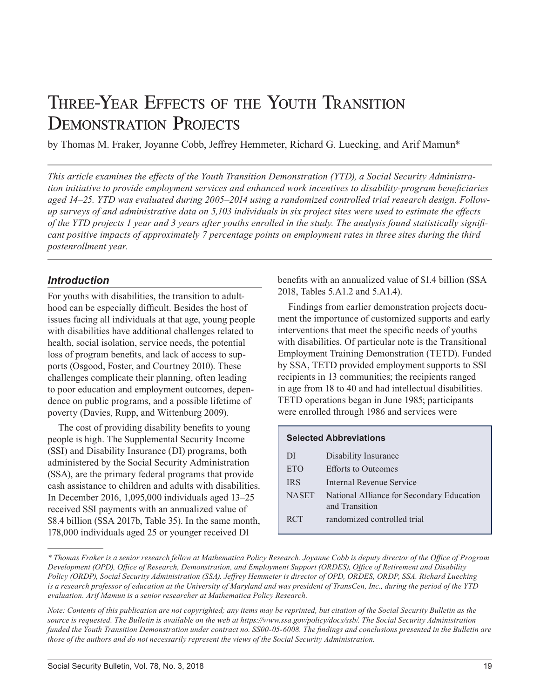# Three-Year Effects of the Youth Transition DEMONSTRATION PROJECTS

by Thomas M. Fraker, Joyanne Cobb, Jeffrey Hemmeter, Richard G. Luecking, and Arif Mamun\*

*This article examines the effects of the Youth Transition Demonstration (YTD), a Social Security Administration initiative to provide employment services and enhanced work incentives to disability-program beneficiaries aged 14–25. YTD was evaluated during 2005–2014 using a randomized controlled trial research design. Followup surveys of and administrative data on 5,103 individuals in six project sites were used to estimate the effects of the YTD projects 1 year and 3 years after youths enrolled in the study. The analysis found statistically significant positive impacts of approximately 7 percentage points on employment rates in three sites during the third postenrollment year.*

#### *Introduction*

For youths with disabilities, the transition to adulthood can be especially difficult. Besides the host of issues facing all individuals at that age, young people with disabilities have additional challenges related to health, social isolation, service needs, the potential loss of program benefits, and lack of access to supports (Osgood, Foster, and Courtney 2010). These challenges complicate their planning, often leading to poor education and employment outcomes, dependence on public programs, and a possible lifetime of poverty (Davies, Rupp, and Wittenburg 2009).

The cost of providing disability benefits to young people is high. The Supplemental Security Income (SSI) and Disability Insurance (DI) programs, both administered by the Social Security Administration (SSA), are the primary federal programs that provide cash assistance to children and adults with disabilities. In December 2016, 1,095,000 individuals aged 13–25 received SSI payments with an annualized value of \$8.4 billion (SSA 2017b, Table 35). In the same month, 178,000 individuals aged 25 or younger received DI

benefits with an annualized value of \$1.4 billion (SSA 2018, Tables 5.A1.2 and 5.A1.4).

Findings from earlier demonstration projects document the importance of customized supports and early interventions that meet the specific needs of youths with disabilities. Of particular note is the Transitional Employment Training Demonstration (TETD). Funded by SSA, TETD provided employment supports to SSI recipients in 13 communities; the recipients ranged in age from 18 to 40 and had intellectual disabilities. TETD operations began in June 1985; participants were enrolled through 1986 and services were

|              | <b>Selected Abbreviations</b>                               |
|--------------|-------------------------------------------------------------|
| DI           | Disability Insurance                                        |
| <b>ETO</b>   | <b>Efforts to Outcomes</b>                                  |
| <b>IRS</b>   | Internal Revenue Service                                    |
| <b>NASET</b> | National Alliance for Secondary Education<br>and Transition |
| <b>RCT</b>   | randomized controlled trial                                 |

*<sup>\*</sup> Thomas Fraker is a senior research fellow at Mathematica Policy Research. Joyanne Cobb is deputy director of the Office of Program Development (OPD), Office of Research, Demonstration, and Employment Support (ORDES), Office of Retirement and Disability Policy (ORDP), Social Security Administration (SSA). Jeffrey Hemmeter is director of OPD, ORDES, ORDP, SSA. Richard Luecking is a research professor of education at the University of Maryland and was president of TransCen, Inc., during the period of the YTD evaluation. Arif Mamun is a senior researcher at Mathematica Policy Research.*

*Note: Contents of this publication are not copyrighted; any items may be reprinted, but citation of the Social Security Bulletin as the*  source is requested. The Bulletin is available on the web at [https://www.ssa.gov/policy/docs/ssb/.](https://www.ssa.gov/policy/docs/ssb/) The Social Security Administration *funded the Youth Transition Demonstration under contract no. SS00-05-6008. The findings and conclusions presented in the Bulletin are those of the authors and do not necessarily represent the views of the Social Security Administration.*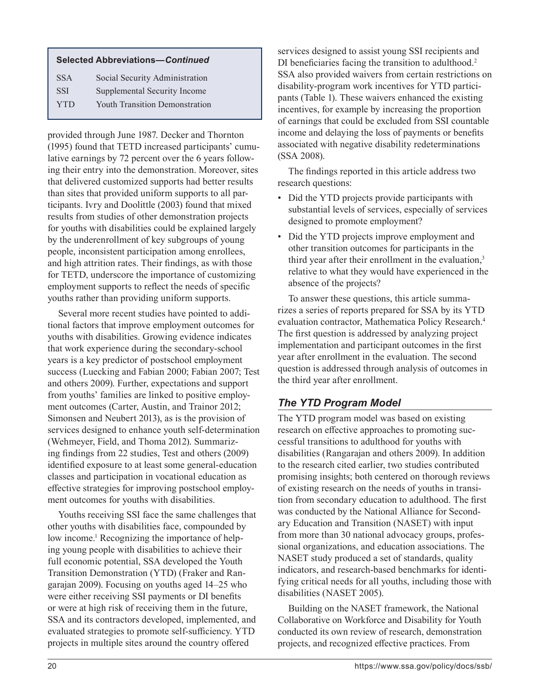#### **Selected Abbreviations***—Continued*

| <b>SSA</b> | Social Security Administration        |
|------------|---------------------------------------|
| <b>SSI</b> | Supplemental Security Income          |
| <b>YTD</b> | <b>Youth Transition Demonstration</b> |

provided through June 1987. Decker and Thornton (1995) found that TETD increased participants' cumulative earnings by 72 percent over the 6 years following their entry into the demonstration. Moreover, sites that delivered customized supports had better results than sites that provided uniform supports to all participants. Ivry and Doolittle (2003) found that mixed results from studies of other demonstration projects for youths with disabilities could be explained largely by the underenrollment of key subgroups of young people, inconsistent participation among enrollees, and high attrition rates. Their findings, as with those for TETD, underscore the importance of customizing employment supports to reflect the needs of specific youths rather than providing uniform supports.

Several more recent studies have pointed to additional factors that improve employment outcomes for youths with disabilities. Growing evidence indicates that work experience during the secondary-school years is a key predictor of postschool employment success (Luecking and Fabian 2000; Fabian 2007; Test and others 2009). Further, expectations and support from youths' families are linked to positive employment outcomes (Carter, Austin, and Trainor 2012; Simonsen and Neubert 2013), as is the provision of services designed to enhance youth self-determination (Wehmeyer, Field, and Thoma 2012). Summarizing findings from 22 studies, Test and others (2009) identified exposure to at least some general-education classes and participation in vocational education as effective strategies for improving postschool employment outcomes for youths with disabilities.

Youths receiving SSI face the same challenges that other youths with disabilities face, compounded by low income.<sup>1</sup> Recognizing the importance of helping young people with disabilities to achieve their full economic potential, SSA developed the Youth Transition Demonstration (YTD) (Fraker and Rangarajan 2009). Focusing on youths aged 14–25 who were either receiving SSI payments or DI benefits or were at high risk of receiving them in the future, SSA and its contractors developed, implemented, and evaluated strategies to promote self-sufficiency. YTD projects in multiple sites around the country offered

services designed to assist young SSI recipients and DI beneficiaries facing the transition to adulthood.<sup>2</sup> SSA also provided waivers from certain restrictions on disability-program work incentives for YTD participants (Table 1). These waivers enhanced the existing incentives, for example by increasing the proportion of earnings that could be excluded from SSI countable income and delaying the loss of payments or benefits associated with negative disability redeterminations (SSA 2008).

The findings reported in this article address two research questions:

- Did the YTD projects provide participants with substantial levels of services, especially of services designed to promote employment?
- Did the YTD projects improve employment and other transition outcomes for participants in the third year after their enrollment in the evaluation, $3$ relative to what they would have experienced in the absence of the projects?

To answer these questions, this article summarizes a series of reports prepared for SSA by its YTD evaluation contractor, Mathematica Policy Research.4 The first question is addressed by analyzing project implementation and participant outcomes in the first year after enrollment in the evaluation. The second question is addressed through analysis of outcomes in the third year after enrollment.

# *The YTD Program Model*

The YTD program model was based on existing research on effective approaches to promoting successful transitions to adulthood for youths with disabilities (Rangarajan and others 2009). In addition to the research cited earlier, two studies contributed promising insights; both centered on thorough reviews of existing research on the needs of youths in transition from secondary education to adulthood. The first was conducted by the National Alliance for Secondary Education and Transition (NASET) with input from more than 30 national advocacy groups, professional organizations, and education associations. The NASET study produced a set of standards, quality indicators, and research-based benchmarks for identifying critical needs for all youths, including those with disabilities (NASET 2005).

Building on the NASET framework, the National Collaborative on Workforce and Disability for Youth conducted its own review of research, demonstration projects, and recognized effective practices. From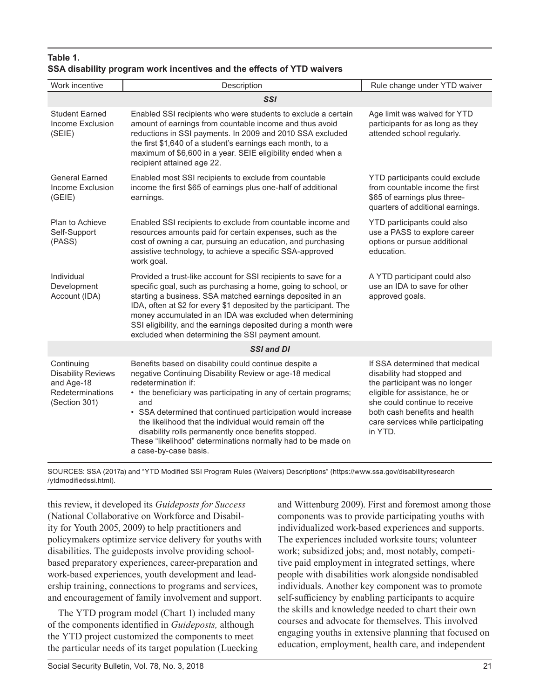#### **Table 1. SSA disability program work incentives and the effects of YTD waivers**

| Work incentive                                                                             | Description                                                                                                                                                                                                                                                                                                                                                                                                                                                                                  | Rule change under YTD waiver                                                                                                                                                                                                                      |  |  |  |
|--------------------------------------------------------------------------------------------|----------------------------------------------------------------------------------------------------------------------------------------------------------------------------------------------------------------------------------------------------------------------------------------------------------------------------------------------------------------------------------------------------------------------------------------------------------------------------------------------|---------------------------------------------------------------------------------------------------------------------------------------------------------------------------------------------------------------------------------------------------|--|--|--|
|                                                                                            | <b>SSI</b>                                                                                                                                                                                                                                                                                                                                                                                                                                                                                   |                                                                                                                                                                                                                                                   |  |  |  |
| <b>Student Earned</b><br>Income Exclusion<br>(SE E)                                        | Enabled SSI recipients who were students to exclude a certain<br>Age limit was waived for YTD<br>amount of earnings from countable income and thus avoid<br>reductions in SSI payments. In 2009 and 2010 SSA excluded<br>the first \$1,640 of a student's earnings each month, to a<br>maximum of \$6,600 in a year. SEIE eligibility ended when a<br>recipient attained age 22.                                                                                                             |                                                                                                                                                                                                                                                   |  |  |  |
| <b>General Earned</b><br>Income Exclusion<br>(GEIE)                                        | Enabled most SSI recipients to exclude from countable<br>income the first \$65 of earnings plus one-half of additional<br>earnings.                                                                                                                                                                                                                                                                                                                                                          | YTD participants could exclude<br>from countable income the first<br>\$65 of earnings plus three-<br>quarters of additional earnings.                                                                                                             |  |  |  |
| Plan to Achieve<br>Self-Support<br>(PASS)                                                  | Enabled SSI recipients to exclude from countable income and<br>resources amounts paid for certain expenses, such as the<br>cost of owning a car, pursuing an education, and purchasing<br>assistive technology, to achieve a specific SSA-approved<br>work goal.                                                                                                                                                                                                                             | YTD participants could also<br>use a PASS to explore career<br>options or pursue additional<br>education.                                                                                                                                         |  |  |  |
| Individual<br>Development<br>Account (IDA)                                                 | Provided a trust-like account for SSI recipients to save for a<br>specific goal, such as purchasing a home, going to school, or<br>starting a business. SSA matched earnings deposited in an<br>IDA, often at \$2 for every \$1 deposited by the participant. The<br>money accumulated in an IDA was excluded when determining<br>SSI eligibility, and the earnings deposited during a month were<br>excluded when determining the SSI payment amount.                                       | A YTD participant could also<br>use an IDA to save for other<br>approved goals.                                                                                                                                                                   |  |  |  |
|                                                                                            | <b>SSI and DI</b>                                                                                                                                                                                                                                                                                                                                                                                                                                                                            |                                                                                                                                                                                                                                                   |  |  |  |
| Continuing<br><b>Disability Reviews</b><br>and Age-18<br>Redeterminations<br>(Section 301) | Benefits based on disability could continue despite a<br>negative Continuing Disability Review or age-18 medical<br>redetermination if:<br>• the beneficiary was participating in any of certain programs;<br>and<br>• SSA determined that continued participation would increase<br>the likelihood that the individual would remain off the<br>disability rolls permanently once benefits stopped.<br>These "likelihood" determinations normally had to be made on<br>a case-by-case basis. | If SSA determined that medical<br>disability had stopped and<br>the participant was no longer<br>eligible for assistance, he or<br>she could continue to receive<br>both cash benefits and health<br>care services while participating<br>in YTD. |  |  |  |

SOURCES: SSA (2017a) and "YTD Modified SSI Program Rules (Waivers) Descriptions" ([https://www.ssa.gov/disabilityresearch](https://www.ssa.gov/disabilityresearch/ytdmodifiedssi.html) [/ytdmodifiedssi.html](https://www.ssa.gov/disabilityresearch/ytdmodifiedssi.html)).

this review, it developed its *Guideposts for Success* (National Collaborative on Workforce and Disability for Youth 2005, 2009) to help practitioners and policymakers optimize service delivery for youths with disabilities. The guideposts involve providing schoolbased preparatory experiences, career-preparation and work-based experiences, youth development and leadership training, connections to programs and services, and encouragement of family involvement and support.

The YTD program model (Chart 1) included many of the components identified in *Guideposts,* although the YTD project customized the components to meet the particular needs of its target population (Luecking and Wittenburg 2009). First and foremost among those components was to provide participating youths with individualized work-based experiences and supports. The experiences included worksite tours; volunteer work; subsidized jobs; and, most notably, competitive paid employment in integrated settings, where people with disabilities work alongside nondisabled individuals. Another key component was to promote self-sufficiency by enabling participants to acquire the skills and knowledge needed to chart their own courses and advocate for themselves. This involved engaging youths in extensive planning that focused on education, employment, health care, and independent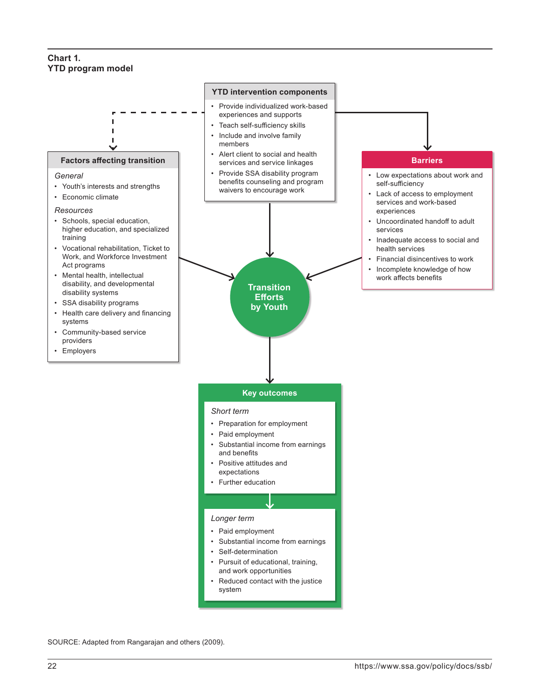#### **Chart 1. YTD program model**



SOURCE: Adapted from Rangarajan and others (2009).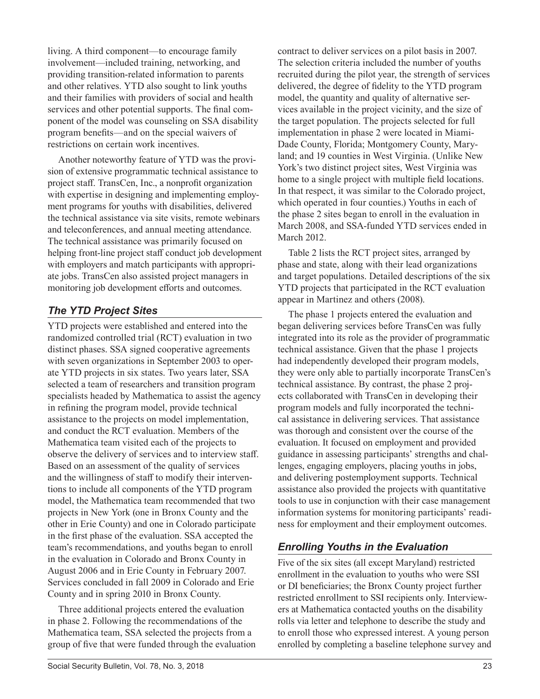living. A third component—to encourage family involvement—included training, networking, and providing transition-related information to parents and other relatives. YTD also sought to link youths and their families with providers of social and health services and other potential supports. The final component of the model was counseling on SSA disability program benefits—and on the special waivers of restrictions on certain work incentives.

Another noteworthy feature of YTD was the provision of extensive programmatic technical assistance to project staff. TransCen, Inc., a nonprofit organization with expertise in designing and implementing employment programs for youths with disabilities, delivered the technical assistance via site visits, remote webinars and teleconferences, and annual meeting attendance. The technical assistance was primarily focused on helping front-line project staff conduct job development with employers and match participants with appropriate jobs. TransCen also assisted project managers in monitoring job development efforts and outcomes.

### *The YTD Project Sites*

YTD projects were established and entered into the randomized controlled trial (RCT) evaluation in two distinct phases. SSA signed cooperative agreements with seven organizations in September 2003 to operate YTD projects in six states. Two years later, SSA selected a team of researchers and transition program specialists headed by Mathematica to assist the agency in refining the program model, provide technical assistance to the projects on model implementation, and conduct the RCT evaluation. Members of the Mathematica team visited each of the projects to observe the delivery of services and to interview staff. Based on an assessment of the quality of services and the willingness of staff to modify their interventions to include all components of the YTD program model, the Mathematica team recommended that two projects in New York (one in Bronx County and the other in Erie County) and one in Colorado participate in the first phase of the evaluation. SSA accepted the team's recommendations, and youths began to enroll in the evaluation in Colorado and Bronx County in August 2006 and in Erie County in February 2007. Services concluded in fall 2009 in Colorado and Erie County and in spring 2010 in Bronx County.

Three additional projects entered the evaluation in phase 2. Following the recommendations of the Mathematica team, SSA selected the projects from a group of five that were funded through the evaluation contract to deliver services on a pilot basis in 2007. The selection criteria included the number of youths recruited during the pilot year, the strength of services delivered, the degree of fidelity to the YTD program model, the quantity and quality of alternative services available in the project vicinity, and the size of the target population. The projects selected for full implementation in phase 2 were located in Miami-Dade County, Florida; Montgomery County, Maryland; and 19 counties in West Virginia. (Unlike New York's two distinct project sites, West Virginia was home to a single project with multiple field locations. In that respect, it was similar to the Colorado project, which operated in four counties.) Youths in each of the phase 2 sites began to enroll in the evaluation in March 2008, and SSA-funded YTD services ended in March 2012.

Table 2 lists the RCT project sites, arranged by phase and state, along with their lead organizations and target populations. Detailed descriptions of the six YTD projects that participated in the RCT evaluation appear in Martinez and others (2008).

The phase 1 projects entered the evaluation and began delivering services before TransCen was fully integrated into its role as the provider of programmatic technical assistance. Given that the phase 1 projects had independently developed their program models, they were only able to partially incorporate TransCen's technical assistance. By contrast, the phase 2 projects collaborated with TransCen in developing their program models and fully incorporated the technical assistance in delivering services. That assistance was thorough and consistent over the course of the evaluation. It focused on employment and provided guidance in assessing participants' strengths and challenges, engaging employers, placing youths in jobs, and delivering postemployment supports. Technical assistance also provided the projects with quantitative tools to use in conjunction with their case management information systems for monitoring participants' readiness for employment and their employment outcomes.

### *Enrolling Youths in the Evaluation*

Five of the six sites (all except Maryland) restricted enrollment in the evaluation to youths who were SSI or DI beneficiaries; the Bronx County project further restricted enrollment to SSI recipients only. Interviewers at Mathematica contacted youths on the disability rolls via letter and telephone to describe the study and to enroll those who expressed interest. A young person enrolled by completing a baseline telephone survey and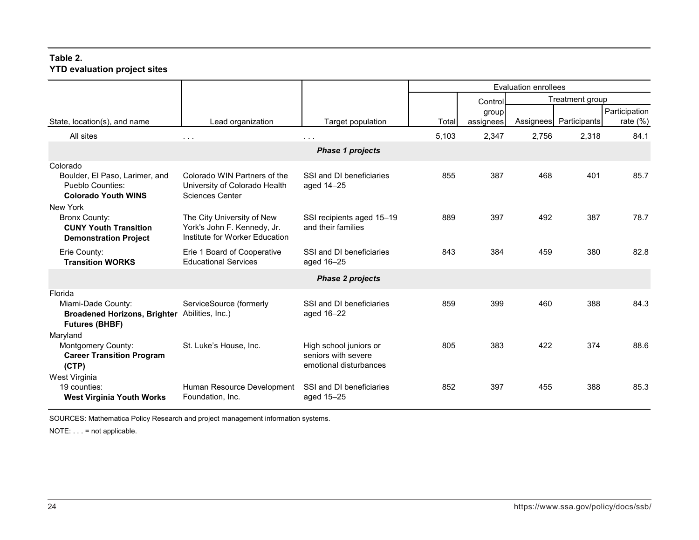#### **Table 2. YTD evaluation project sites**

|                                                                                                  |                                                                                             |                                                                         | <b>Evaluation enrollees</b> |           |       |                        |               |
|--------------------------------------------------------------------------------------------------|---------------------------------------------------------------------------------------------|-------------------------------------------------------------------------|-----------------------------|-----------|-------|------------------------|---------------|
|                                                                                                  |                                                                                             |                                                                         |                             | Control   |       | Treatment group        |               |
|                                                                                                  |                                                                                             |                                                                         |                             | group     |       |                        | Participation |
| State, location(s), and name                                                                     | Lead organization                                                                           | Target population                                                       | Total                       | assignees |       | Assignees Participants | rate $(\%)$   |
| All sites                                                                                        | $\sim$ $\sim$ $\sim$                                                                        | $\sim$ $\sim$ $\sim$                                                    | 5,103                       | 2,347     | 2,756 | 2,318                  | 84.1          |
|                                                                                                  |                                                                                             | <b>Phase 1 projects</b>                                                 |                             |           |       |                        |               |
| Colorado<br>Boulder, El Paso, Larimer, and<br>Pueblo Counties:<br><b>Colorado Youth WINS</b>     | Colorado WIN Partners of the<br>University of Colorado Health<br><b>Sciences Center</b>     | SSI and DI beneficiaries<br>aged 14-25                                  | 855                         | 387       | 468   | 401                    | 85.7          |
| New York<br><b>Bronx County:</b><br><b>CUNY Youth Transition</b><br><b>Demonstration Project</b> | The City University of New<br>York's John F. Kennedy, Jr.<br>Institute for Worker Education | SSI recipients aged 15-19<br>and their families                         | 889                         | 397       | 492   | 387                    | 78.7          |
| Erie County:<br><b>Transition WORKS</b>                                                          | Erie 1 Board of Cooperative<br><b>Educational Services</b>                                  | SSI and DI beneficiaries<br>aged 16-25                                  | 843                         | 384       | 459   | 380                    | 82.8          |
|                                                                                                  |                                                                                             | <b>Phase 2 projects</b>                                                 |                             |           |       |                        |               |
| Florida<br>Miami-Dade County:<br><b>Broadened Horizons, Brighter</b><br><b>Futures (BHBF)</b>    | ServiceSource (formerly<br>Abilities, Inc.)                                                 | SSI and DI beneficiaries<br>aged 16-22                                  | 859                         | 399       | 460   | 388                    | 84.3          |
| Maryland<br>Montgomery County:<br><b>Career Transition Program</b><br>(CTP)                      | St. Luke's House, Inc.                                                                      | High school juniors or<br>seniors with severe<br>emotional disturbances | 805                         | 383       | 422   | 374                    | 88.6          |
| West Virginia<br>19 counties:<br><b>West Virginia Youth Works</b>                                | Human Resource Development<br>Foundation, Inc.                                              | SSI and DI beneficiaries<br>aged 15-25                                  | 852                         | 397       | 455   | 388                    | 85.3          |

SOURCES: Mathematica Policy Research and project management information systems.

NOTE: . . . = not applicable.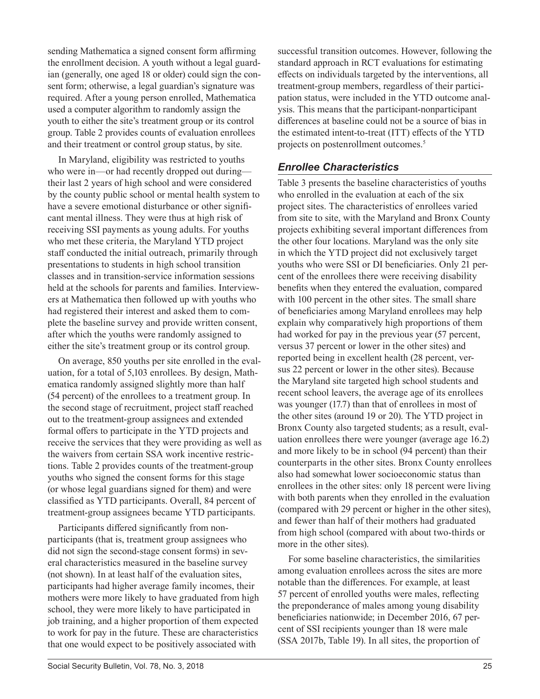sending Mathematica a signed consent form affirming the enrollment decision. A youth without a legal guardian (generally, one aged 18 or older) could sign the consent form; otherwise, a legal guardian's signature was required. After a young person enrolled, Mathematica used a computer algorithm to randomly assign the youth to either the site's treatment group or its control group. Table 2 provides counts of evaluation enrollees and their treatment or control group status, by site.

In Maryland, eligibility was restricted to youths who were in—or had recently dropped out during their last 2 years of high school and were considered by the county public school or mental health system to have a severe emotional disturbance or other significant mental illness. They were thus at high risk of receiving SSI payments as young adults. For youths who met these criteria, the Maryland YTD project staff conducted the initial outreach, primarily through presentations to students in high school transition classes and in transition-service information sessions held at the schools for parents and families. Interviewers at Mathematica then followed up with youths who had registered their interest and asked them to complete the baseline survey and provide written consent, after which the youths were randomly assigned to either the site's treatment group or its control group.

On average, 850 youths per site enrolled in the evaluation, for a total of 5,103 enrollees. By design, Mathematica randomly assigned slightly more than half (54 percent) of the enrollees to a treatment group. In the second stage of recruitment, project staff reached out to the treatment-group assignees and extended formal offers to participate in the YTD projects and receive the services that they were providing as well as the waivers from certain SSA work incentive restrictions. Table 2 provides counts of the treatment-group youths who signed the consent forms for this stage (or whose legal guardians signed for them) and were classified as YTD participants. Overall, 84 percent of treatment-group assignees became YTD participants.

Participants differed significantly from nonparticipants (that is, treatment group assignees who did not sign the second-stage consent forms) in several characteristics measured in the baseline survey (not shown). In at least half of the evaluation sites, participants had higher average family incomes, their mothers were more likely to have graduated from high school, they were more likely to have participated in job training, and a higher proportion of them expected to work for pay in the future. These are characteristics that one would expect to be positively associated with

successful transition outcomes. However, following the standard approach in RCT evaluations for estimating effects on individuals targeted by the interventions, all treatment-group members, regardless of their participation status, were included in the YTD outcome analysis. This means that the participant-nonparticipant differences at baseline could not be a source of bias in the estimated intent-to-treat (ITT) effects of the YTD projects on postenrollment outcomes.5

### *Enrollee Characteristics*

Table 3 presents the baseline characteristics of youths who enrolled in the evaluation at each of the six project sites. The characteristics of enrollees varied from site to site, with the Maryland and Bronx County projects exhibiting several important differences from the other four locations. Maryland was the only site in which the YTD project did not exclusively target youths who were SSI or DI beneficiaries. Only 21 percent of the enrollees there were receiving disability benefits when they entered the evaluation, compared with 100 percent in the other sites. The small share of beneficiaries among Maryland enrollees may help explain why comparatively high proportions of them had worked for pay in the previous year (57 percent, versus 37 percent or lower in the other sites) and reported being in excellent health (28 percent, versus 22 percent or lower in the other sites). Because the Maryland site targeted high school students and recent school leavers, the average age of its enrollees was younger (17.7) than that of enrollees in most of the other sites (around 19 or 20). The YTD project in Bronx County also targeted students; as a result, evaluation enrollees there were younger (average age 16.2) and more likely to be in school (94 percent) than their counterparts in the other sites. Bronx County enrollees also had somewhat lower socioeconomic status than enrollees in the other sites: only 18 percent were living with both parents when they enrolled in the evaluation (compared with 29 percent or higher in the other sites), and fewer than half of their mothers had graduated from high school (compared with about two-thirds or more in the other sites).

For some baseline characteristics, the similarities among evaluation enrollees across the sites are more notable than the differences. For example, at least 57 percent of enrolled youths were males, reflecting the preponderance of males among young disability beneficiaries nationwide; in December 2016, 67 percent of SSI recipients younger than 18 were male (SSA 2017b, Table 19). In all sites, the proportion of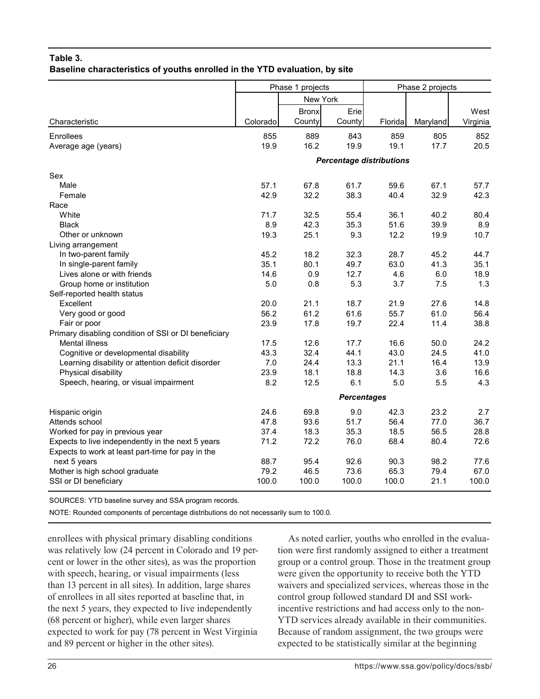#### **Table 3. Baseline characteristics of youths enrolled in the YTD evaluation, by site**

|                                                      | Phase 1 projects |              |                    | Phase 2 projects                |          |          |
|------------------------------------------------------|------------------|--------------|--------------------|---------------------------------|----------|----------|
|                                                      |                  | New York     |                    |                                 |          |          |
|                                                      |                  | <b>Bronx</b> | Erie               |                                 |          | West     |
| Characteristic                                       | Colorado         | County       | County             | Florida                         | Maryland | Virginia |
| Enrollees                                            | 855              | 889          | 843                | 859                             | 805      | 852      |
| Average age (years)                                  | 19.9             | 16.2         | 19.9               | 19.1                            | 17.7     | 20.5     |
|                                                      |                  |              |                    | <b>Percentage distributions</b> |          |          |
| Sex                                                  |                  |              |                    |                                 |          |          |
| Male                                                 | 57.1             | 67.8         | 61.7               | 59.6                            | 67.1     | 57.7     |
| Female                                               | 42.9             | 32.2         | 38.3               | 40.4                            | 32.9     | 42.3     |
| Race                                                 |                  |              |                    |                                 |          |          |
| White                                                | 71.7             | 32.5         | 55.4               | 36.1                            | 40.2     | 80.4     |
| <b>Black</b>                                         | 8.9              | 42.3         | 35.3               | 51.6                            | 39.9     | 8.9      |
| Other or unknown                                     | 19.3             | 25.1         | 9.3                | 12.2                            | 19.9     | 10.7     |
| Living arrangement                                   |                  |              |                    |                                 |          |          |
| In two-parent family                                 | 45.2             | 18.2         | 32.3               | 28.7                            | 45.2     | 44.7     |
| In single-parent family                              | 35.1             | 80.1         | 49.7               | 63.0                            | 41.3     | 35.1     |
| Lives alone or with friends                          | 14.6             | 0.9          | 12.7               | 4.6                             | 6.0      | 18.9     |
| Group home or institution                            | 5.0              | 0.8          | 5.3                | 3.7                             | 7.5      | 1.3      |
| Self-reported health status                          |                  |              |                    |                                 |          |          |
| Excellent                                            | 20.0             | 21.1         | 18.7               | 21.9                            | 27.6     | 14.8     |
| Very good or good                                    | 56.2             | 61.2         | 61.6               | 55.7                            | 61.0     | 56.4     |
| Fair or poor                                         | 23.9             | 17.8         | 19.7               | 22.4                            | 11.4     | 38.8     |
| Primary disabling condition of SSI or DI beneficiary |                  |              |                    |                                 |          |          |
| <b>Mental illness</b>                                | 17.5             | 12.6         | 17.7               | 16.6                            | 50.0     | 24.2     |
| Cognitive or developmental disability                | 43.3             | 32.4         | 44.1               | 43.0                            | 24.5     | 41.0     |
| Learning disability or attention deficit disorder    | 7.0              | 24.4         | 13.3               | 21.1                            | 16.4     | 13.9     |
| Physical disability                                  | 23.9             | 18.1         | 18.8               | 14.3                            | 3.6      | 16.6     |
| Speech, hearing, or visual impairment                | 8.2              | 12.5         | 6.1                | 5.0                             | 5.5      | 4.3      |
|                                                      |                  |              | <b>Percentages</b> |                                 |          |          |
| Hispanic origin                                      | 24.6             | 69.8         | 9.0                | 42.3                            | 23.2     | 2.7      |
| Attends school                                       | 47.8             | 93.6         | 51.7               | 56.4                            | 77.0     | 36.7     |
| Worked for pay in previous year                      | 37.4             | 18.3         | 35.3               | 18.5                            | 56.5     | 28.8     |
| Expects to live independently in the next 5 years    | 71.2             | 72.2         | 76.0               | 68.4                            | 80.4     | 72.6     |
| Expects to work at least part-time for pay in the    |                  |              |                    |                                 |          |          |
| next 5 years                                         | 88.7             | 95.4         | 92.6               | 90.3                            | 98.2     | 77.6     |
| Mother is high school graduate                       | 79.2             | 46.5         | 73.6               | 65.3                            | 79.4     | 67.0     |
| SSI or DI beneficiary                                | 100.0            | 100.0        | 100.0              | 100.0                           | 21.1     | 100.0    |
|                                                      |                  |              |                    |                                 |          |          |

SOURCES: YTD baseline survey and SSA program records.

NOTE: Rounded components of percentage distributions do not necessarily sum to 100.0.

enrollees with physical primary disabling conditions was relatively low (24 percent in Colorado and 19 percent or lower in the other sites), as was the proportion with speech, hearing, or visual impairments (less than 13 percent in all sites). In addition, large shares of enrollees in all sites reported at baseline that, in the next 5 years, they expected to live independently (68 percent or higher), while even larger shares expected to work for pay (78 percent in West Virginia and 89 percent or higher in the other sites).

As noted earlier, youths who enrolled in the evaluation were first randomly assigned to either a treatment group or a control group. Those in the treatment group were given the opportunity to receive both the YTD waivers and specialized services, whereas those in the control group followed standard DI and SSI workincentive restrictions and had access only to the non-YTD services already available in their communities. Because of random assignment, the two groups were expected to be statistically similar at the beginning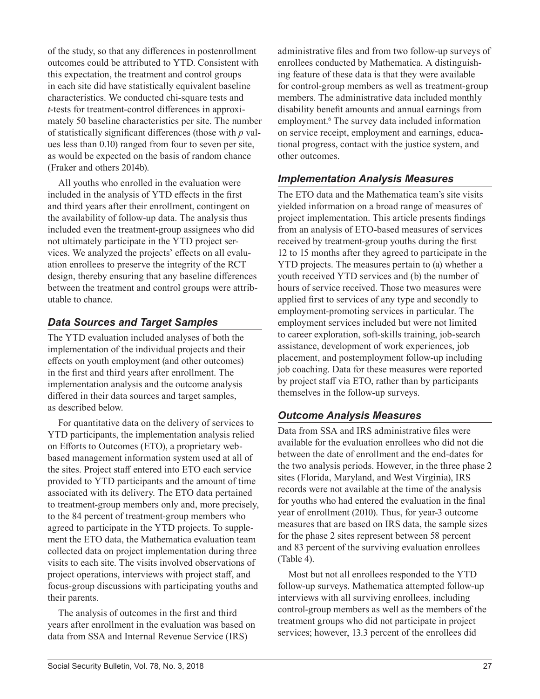of the study, so that any differences in postenrollment outcomes could be attributed to YTD. Consistent with this expectation, the treatment and control groups in each site did have statistically equivalent baseline characteristics. We conducted chi-square tests and *t*-tests for treatment-control differences in approximately 50 baseline characteristics per site. The number of statistically significant differences (those with *p* values less than 0.10) ranged from four to seven per site, as would be expected on the basis of random chance (Fraker and others 2014b).

All youths who enrolled in the evaluation were included in the analysis of YTD effects in the first and third years after their enrollment, contingent on the availability of follow-up data. The analysis thus included even the treatment-group assignees who did not ultimately participate in the YTD project services. We analyzed the projects' effects on all evaluation enrollees to preserve the integrity of the RCT design, thereby ensuring that any baseline differences between the treatment and control groups were attributable to chance.

### *Data Sources and Target Samples*

The YTD evaluation included analyses of both the implementation of the individual projects and their effects on youth employment (and other outcomes) in the first and third years after enrollment. The implementation analysis and the outcome analysis differed in their data sources and target samples, as described below.

For quantitative data on the delivery of services to YTD participants, the implementation analysis relied on Efforts to Outcomes (ETO), a proprietary webbased management information system used at all of the sites. Project staff entered into ETO each service provided to YTD participants and the amount of time associated with its delivery. The ETO data pertained to treatment-group members only and, more precisely, to the 84 percent of treatment-group members who agreed to participate in the YTD projects. To supplement the ETO data, the Mathematica evaluation team collected data on project implementation during three visits to each site. The visits involved observations of project operations, interviews with project staff, and focus-group discussions with participating youths and their parents.

The analysis of outcomes in the first and third years after enrollment in the evaluation was based on data from SSA and Internal Revenue Service (IRS)

administrative files and from two follow-up surveys of enrollees conducted by Mathematica. A distinguishing feature of these data is that they were available for control-group members as well as treatment-group members. The administrative data included monthly disability benefit amounts and annual earnings from employment.<sup>6</sup> The survey data included information on service receipt, employment and earnings, educational progress, contact with the justice system, and other outcomes.

### *Implementation Analysis Measures*

The ETO data and the Mathematica team's site visits yielded information on a broad range of measures of project implementation. This article presents findings from an analysis of ETO-based measures of services received by treatment-group youths during the first 12 to 15 months after they agreed to participate in the YTD projects. The measures pertain to (a) whether a youth received YTD services and (b) the number of hours of service received. Those two measures were applied first to services of any type and secondly to employment-promoting services in particular. The employment services included but were not limited to career exploration, soft-skills training, job-search assistance, development of work experiences, job placement, and postemployment follow-up including job coaching. Data for these measures were reported by project staff via ETO, rather than by participants themselves in the follow-up surveys.

### *Outcome Analysis Measures*

Data from SSA and IRS administrative files were available for the evaluation enrollees who did not die between the date of enrollment and the end-dates for the two analysis periods. However, in the three phase 2 sites (Florida, Maryland, and West Virginia), IRS records were not available at the time of the analysis for youths who had entered the evaluation in the final year of enrollment (2010). Thus, for year-3 outcome measures that are based on IRS data, the sample sizes for the phase 2 sites represent between 58 percent and 83 percent of the surviving evaluation enrollees (Table 4).

Most but not all enrollees responded to the YTD follow-up surveys. Mathematica attempted follow-up interviews with all surviving enrollees, including control-group members as well as the members of the treatment groups who did not participate in project services; however, 13.3 percent of the enrollees did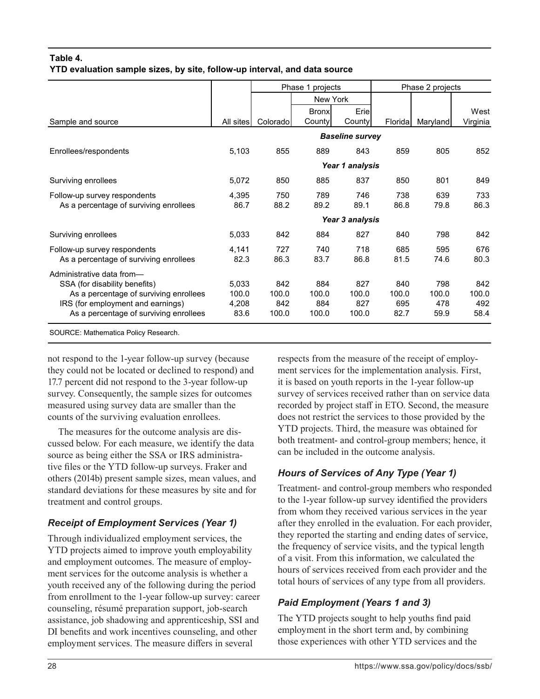### **Table 4. YTD evaluation sample sizes, by site, follow-up interval, and data source**

|                                                                             |                |              | Phase 1 projects       |                        |              | Phase 2 projects |                  |
|-----------------------------------------------------------------------------|----------------|--------------|------------------------|------------------------|--------------|------------------|------------------|
|                                                                             |                |              | New York               |                        |              |                  |                  |
| Sample and source                                                           | All sites      | Colorado     | <b>Bronx</b><br>County | Eriel<br>County        | Floridal     | Maryland         | West<br>Virginia |
|                                                                             |                |              |                        | <b>Baseline survey</b> |              |                  |                  |
| Enrollees/respondents                                                       | 5,103          | 855          | 889                    | 843                    | 859          | 805              | 852              |
|                                                                             |                |              |                        | Year 1 analysis        |              |                  |                  |
| Surviving enrollees                                                         | 5,072          | 850          | 885                    | 837                    | 850          | 801              | 849              |
| Follow-up survey respondents<br>As a percentage of surviving enrollees      | 4,395<br>86.7  | 750<br>88.2  | 789<br>89.2            | 746<br>89.1            | 738<br>86.8  | 639<br>79.8      | 733<br>86.3      |
|                                                                             |                |              |                        | Year 3 analysis        |              |                  |                  |
| Surviving enrollees                                                         | 5,033          | 842          | 884                    | 827                    | 840          | 798              | 842              |
| Follow-up survey respondents<br>As a percentage of surviving enrollees      | 4,141<br>82.3  | 727<br>86.3  | 740<br>83.7            | 718<br>86.8            | 685<br>81.5  | 595<br>74.6      | 676<br>80.3      |
| Administrative data from-                                                   |                |              |                        |                        |              |                  |                  |
| SSA (for disability benefits)<br>As a percentage of surviving enrollees     | 5,033<br>100.0 | 842<br>100.0 | 884<br>100.0           | 827<br>100.0           | 840<br>100.0 | 798<br>100.0     | 842<br>100.0     |
| IRS (for employment and earnings)<br>As a percentage of surviving enrollees | 4,208<br>83.6  | 842<br>100.0 | 884<br>100.0           | 827<br>100.0           | 695<br>82.7  | 478<br>59.9      | 492<br>58.4      |
|                                                                             |                |              |                        |                        |              |                  |                  |

SOURCE: Mathematica Policy Research.

not respond to the 1-year follow-up survey (because they could not be located or declined to respond) and 17.7 percent did not respond to the 3-year follow-up survey. Consequently, the sample sizes for outcomes measured using survey data are smaller than the counts of the surviving evaluation enrollees.

The measures for the outcome analysis are discussed below. For each measure, we identify the data source as being either the SSA or IRS administrative files or the YTD follow-up surveys. Fraker and others (2014b) present sample sizes, mean values, and standard deviations for these measures by site and for treatment and control groups.

# *Receipt of Employment Services (Year 1)*

Through individualized employment services, the YTD projects aimed to improve youth employability and employment outcomes. The measure of employment services for the outcome analysis is whether a youth received any of the following during the period from enrollment to the 1-year follow-up survey: career counseling, résumé preparation support, job-search assistance, job shadowing and apprenticeship, SSI and DI benefits and work incentives counseling, and other employment services. The measure differs in several

respects from the measure of the receipt of employment services for the implementation analysis. First, it is based on youth reports in the 1-year follow-up survey of services received rather than on service data recorded by project staff in ETO. Second, the measure does not restrict the services to those provided by the YTD projects. Third, the measure was obtained for both treatment- and control-group members; hence, it can be included in the outcome analysis.

# *Hours of Services of Any Type (Year 1)*

Treatment- and control-group members who responded to the 1-year follow-up survey identified the providers from whom they received various services in the year after they enrolled in the evaluation. For each provider, they reported the starting and ending dates of service, the frequency of service visits, and the typical length of a visit. From this information, we calculated the hours of services received from each provider and the total hours of services of any type from all providers.

# *Paid Employment (Years 1 and 3)*

The YTD projects sought to help youths find paid employment in the short term and, by combining those experiences with other YTD services and the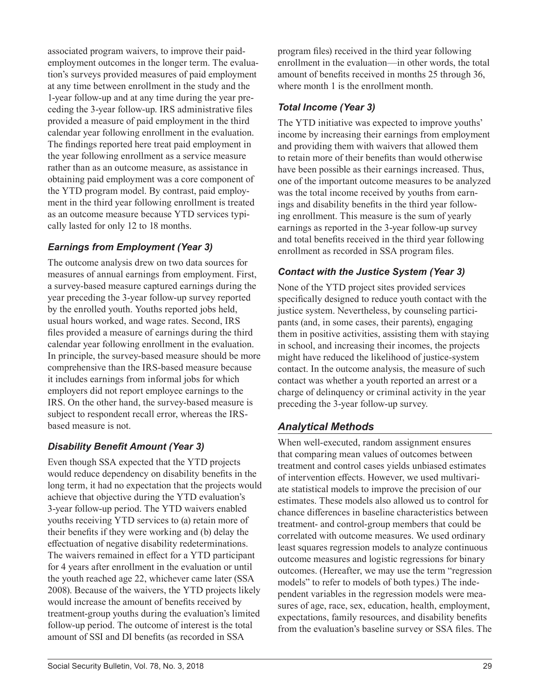associated program waivers, to improve their paidemployment outcomes in the longer term. The evaluation's surveys provided measures of paid employment at any time between enrollment in the study and the 1-year follow-up and at any time during the year preceding the 3-year follow-up. IRS administrative files provided a measure of paid employment in the third calendar year following enrollment in the evaluation. The findings reported here treat paid employment in the year following enrollment as a service measure rather than as an outcome measure, as assistance in obtaining paid employment was a core component of the YTD program model. By contrast, paid employment in the third year following enrollment is treated as an outcome measure because YTD services typically lasted for only 12 to 18 months.

### *Earnings from Employment (Year 3)*

The outcome analysis drew on two data sources for measures of annual earnings from employment. First, a survey-based measure captured earnings during the year preceding the 3-year follow-up survey reported by the enrolled youth. Youths reported jobs held, usual hours worked, and wage rates. Second, IRS files provided a measure of earnings during the third calendar year following enrollment in the evaluation. In principle, the survey-based measure should be more comprehensive than the IRS-based measure because it includes earnings from informal jobs for which employers did not report employee earnings to the IRS. On the other hand, the survey-based measure is subject to respondent recall error, whereas the IRSbased measure is not.

### *Disability Benefit Amount (Year 3)*

Even though SSA expected that the YTD projects would reduce dependency on disability benefits in the long term, it had no expectation that the projects would achieve that objective during the YTD evaluation's 3-year follow-up period. The YTD waivers enabled youths receiving YTD services to (a) retain more of their benefits if they were working and (b) delay the effectuation of negative disability redeterminations. The waivers remained in effect for a YTD participant for 4 years after enrollment in the evaluation or until the youth reached age 22, whichever came later (SSA 2008). Because of the waivers, the YTD projects likely would increase the amount of benefits received by treatment-group youths during the evaluation's limited follow-up period. The outcome of interest is the total amount of SSI and DI benefits (as recorded in SSA

program files) received in the third year following enrollment in the evaluation—in other words, the total amount of benefits received in months 25 through 36, where month 1 is the enrollment month.

### *Total Income (Year 3)*

The YTD initiative was expected to improve youths' income by increasing their earnings from employment and providing them with waivers that allowed them to retain more of their benefits than would otherwise have been possible as their earnings increased. Thus, one of the important outcome measures to be analyzed was the total income received by youths from earnings and disability benefits in the third year following enrollment. This measure is the sum of yearly earnings as reported in the 3-year follow-up survey and total benefits received in the third year following enrollment as recorded in SSA program files.

### *Contact with the Justice System (Year 3)*

None of the YTD project sites provided services specifically designed to reduce youth contact with the justice system. Nevertheless, by counseling participants (and, in some cases, their parents), engaging them in positive activities, assisting them with staying in school, and increasing their incomes, the projects might have reduced the likelihood of justice-system contact. In the outcome analysis, the measure of such contact was whether a youth reported an arrest or a charge of delinquency or criminal activity in the year preceding the 3-year follow-up survey.

### *Analytical Methods*

When well-executed, random assignment ensures that comparing mean values of outcomes between treatment and control cases yields unbiased estimates of intervention effects. However, we used multivariate statistical models to improve the precision of our estimates. These models also allowed us to control for chance differences in baseline characteristics between treatment- and control-group members that could be correlated with outcome measures. We used ordinary least squares regression models to analyze continuous outcome measures and logistic regressions for binary outcomes. (Hereafter, we may use the term "regression models" to refer to models of both types.) The independent variables in the regression models were measures of age, race, sex, education, health, employment, expectations, family resources, and disability benefits from the evaluation's baseline survey or SSA files. The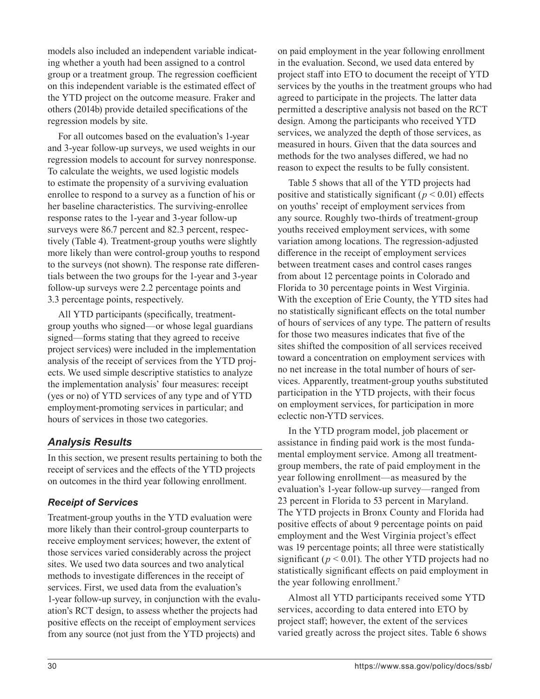models also included an independent variable indicating whether a youth had been assigned to a control group or a treatment group. The regression coefficient on this independent variable is the estimated effect of the YTD project on the outcome measure. Fraker and others (2014b) provide detailed specifications of the regression models by site.

For all outcomes based on the evaluation's 1-year and 3-year follow-up surveys, we used weights in our regression models to account for survey nonresponse. To calculate the weights, we used logistic models to estimate the propensity of a surviving evaluation enrollee to respond to a survey as a function of his or her baseline characteristics. The surviving-enrollee response rates to the 1-year and 3-year follow-up surveys were 86.7 percent and 82.3 percent, respectively (Table 4). Treatment-group youths were slightly more likely than were control-group youths to respond to the surveys (not shown). The response rate differentials between the two groups for the 1-year and 3-year follow-up surveys were 2.2 percentage points and 3.3 percentage points, respectively.

All YTD participants (specifically, treatmentgroup youths who signed—or whose legal guardians signed—forms stating that they agreed to receive project services) were included in the implementation analysis of the receipt of services from the YTD projects. We used simple descriptive statistics to analyze the implementation analysis' four measures: receipt (yes or no) of YTD services of any type and of YTD employment-promoting services in particular; and hours of services in those two categories.

#### *Analysis Results*

In this section, we present results pertaining to both the receipt of services and the effects of the YTD projects on outcomes in the third year following enrollment.

#### *Receipt of Services*

Treatment-group youths in the YTD evaluation were more likely than their control-group counterparts to receive employment services; however, the extent of those services varied considerably across the project sites. We used two data sources and two analytical methods to investigate differences in the receipt of services. First, we used data from the evaluation's 1-year follow-up survey, in conjunction with the evaluation's RCT design, to assess whether the projects had positive effects on the receipt of employment services from any source (not just from the YTD projects) and

on paid employment in the year following enrollment in the evaluation. Second, we used data entered by project staff into ETO to document the receipt of YTD services by the youths in the treatment groups who had agreed to participate in the projects. The latter data permitted a descriptive analysis not based on the RCT design. Among the participants who received YTD services, we analyzed the depth of those services, as measured in hours. Given that the data sources and methods for the two analyses differed, we had no reason to expect the results to be fully consistent.

Table 5 shows that all of the YTD projects had positive and statistically significant ( $p < 0.01$ ) effects on youths' receipt of employment services from any source. Roughly two-thirds of treatment-group youths received employment services, with some variation among locations. The regression-adjusted difference in the receipt of employment services between treatment cases and control cases ranges from about 12 percentage points in Colorado and Florida to 30 percentage points in West Virginia. With the exception of Erie County, the YTD sites had no statistically significant effects on the total number of hours of services of any type. The pattern of results for those two measures indicates that five of the sites shifted the composition of all services received toward a concentration on employment services with no net increase in the total number of hours of services. Apparently, treatment-group youths substituted participation in the YTD projects, with their focus on employment services, for participation in more eclectic non-YTD services.

In the YTD program model, job placement or assistance in finding paid work is the most fundamental employment service. Among all treatmentgroup members, the rate of paid employment in the year following enrollment—as measured by the evaluation's 1-year follow-up survey—ranged from 23 percent in Florida to 53 percent in Maryland. The YTD projects in Bronx County and Florida had positive effects of about 9 percentage points on paid employment and the West Virginia project's effect was 19 percentage points; all three were statistically significant ( $p < 0.01$ ). The other YTD projects had no statistically significant effects on paid employment in the year following enrollment.<sup>7</sup>

Almost all YTD participants received some YTD services, according to data entered into ETO by project staff; however, the extent of the services varied greatly across the project sites. Table 6 shows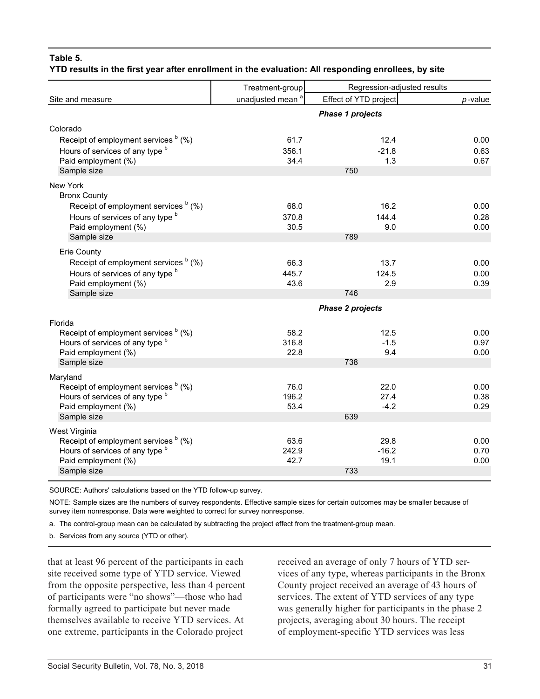#### **Table 5. YTD results in the first year after enrollment in the evaluation: All responding enrollees, by site**

|                                                             | Treatment-group              | Regression-adjusted results |              |
|-------------------------------------------------------------|------------------------------|-----------------------------|--------------|
| Site and measure                                            | unadjusted mean <sup>a</sup> | Effect of YTD project       | $p$ -value   |
|                                                             |                              | <b>Phase 1 projects</b>     |              |
| Colorado                                                    |                              |                             |              |
| Receipt of employment services <sup>b</sup> (%)             | 61.7                         | 12.4                        | 0.00         |
| Hours of services of any type b                             | 356.1                        | $-21.8$                     | 0.63         |
| Paid employment (%)<br>Sample size                          | 34.4                         | 1.3<br>750                  | 0.67         |
|                                                             |                              |                             |              |
| New York<br><b>Bronx County</b>                             |                              |                             |              |
| Receipt of employment services <sup>b</sup> (%)             | 68.0                         | 16.2                        | 0.00         |
| Hours of services of any type b                             | 370.8                        | 144.4                       | 0.28         |
| Paid employment (%)                                         | 30.5                         | 9.0                         | 0.00         |
| Sample size                                                 |                              | 789                         |              |
| <b>Erie County</b>                                          |                              |                             |              |
| Receipt of employment services <sup>b</sup> (%)             | 66.3                         | 13.7                        | 0.00         |
| Hours of services of any type b<br>Paid employment (%)      | 445.7<br>43.6                | 124.5<br>2.9                | 0.00<br>0.39 |
| Sample size                                                 |                              | 746                         |              |
|                                                             |                              | <b>Phase 2 projects</b>     |              |
| Florida                                                     |                              |                             |              |
| Receipt of employment services <sup>b</sup> (%)             | 58.2                         | 12.5                        | 0.00         |
| Hours of services of any type b                             | 316.8                        | $-1.5$                      | 0.97         |
| Paid employment (%)                                         | 22.8                         | 9.4                         | 0.00         |
| Sample size                                                 |                              | 738                         |              |
| Maryland<br>Receipt of employment services <sup>b</sup> (%) |                              |                             |              |
| Hours of services of any type b                             | 76.0<br>196.2                | 22.0<br>27.4                | 0.00<br>0.38 |
| Paid employment (%)                                         | 53.4                         | $-4.2$                      | 0.29         |
| Sample size                                                 |                              | 639                         |              |
| West Virginia                                               |                              |                             |              |
| Receipt of employment services <sup>b</sup> (%)             | 63.6                         | 29.8                        | 0.00         |
| Hours of services of any type b<br>Paid employment (%)      | 242.9<br>42.7                | $-16.2$<br>19.1             | 0.70<br>0.00 |
| Sample size                                                 |                              | 733                         |              |
|                                                             |                              |                             |              |

SOURCE: Authors' calculations based on the YTD follow-up survey.

NOTE: Sample sizes are the numbers of survey respondents. Effective sample sizes for certain outcomes may be smaller because of survey item nonresponse. Data were weighted to correct for survey nonresponse.

a. The control-group mean can be calculated by subtracting the project effect from the treatment-group mean.

b. Services from any source (YTD or other).

that at least 96 percent of the participants in each site received some type of YTD service. Viewed from the opposite perspective, less than 4 percent of participants were "no shows"—those who had formally agreed to participate but never made themselves available to receive YTD services. At one extreme, participants in the Colorado project

received an average of only 7 hours of YTD services of any type, whereas participants in the Bronx County project received an average of 43 hours of services. The extent of YTD services of any type was generally higher for participants in the phase 2 projects, averaging about 30 hours. The receipt of employment-specific YTD services was less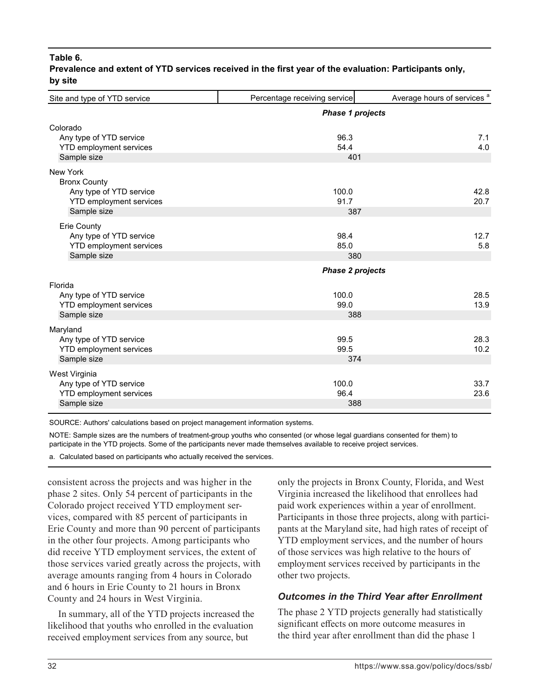#### **Table 6.**

| Site and type of YTD service                                                                                       | Percentage receiving service                    | Average hours of services <sup>a</sup> |
|--------------------------------------------------------------------------------------------------------------------|-------------------------------------------------|----------------------------------------|
|                                                                                                                    | <b>Phase 1 projects</b>                         |                                        |
| Colorado<br>Any type of YTD service<br><b>YTD employment services</b><br>Sample size                               | 96.3<br>54.4<br>401                             | 7.1<br>4.0                             |
| <b>New York</b><br><b>Bronx County</b><br>Any type of YTD service<br><b>YTD employment services</b><br>Sample size | 100.0<br>91.7<br>387                            | 42.8<br>20.7                           |
| <b>Erie County</b><br>Any type of YTD service<br><b>YTD employment services</b><br>Sample size                     | 98.4<br>85.0<br>380                             | 12.7<br>5.8                            |
| Florida<br>Any type of YTD service<br><b>YTD employment services</b><br>Sample size                                | <b>Phase 2 projects</b><br>100.0<br>99.0<br>388 | 28.5<br>13.9                           |
| Maryland<br>Any type of YTD service<br><b>YTD employment services</b><br>Sample size                               | 99.5<br>99.5<br>374                             | 28.3<br>10.2                           |
| West Virginia<br>Any type of YTD service<br><b>YTD employment services</b><br>Sample size                          | 100.0<br>96.4<br>388                            | 33.7<br>23.6                           |

**Prevalence and extent of YTD services received in the first year of the evaluation: Participants only, by site**

SOURCE: Authors' calculations based on project management information systems.

NOTE: Sample sizes are the numbers of treatment-group youths who consented (or whose legal guardians consented for them) to participate in the YTD projects. Some of the participants never made themselves available to receive project services.

a. Calculated based on participants who actually received the services.

consistent across the projects and was higher in the phase 2 sites. Only 54 percent of participants in the Colorado project received YTD employment services, compared with 85 percent of participants in Erie County and more than 90 percent of participants in the other four projects. Among participants who did receive YTD employment services, the extent of those services varied greatly across the projects, with average amounts ranging from 4 hours in Colorado and 6 hours in Erie County to 21 hours in Bronx County and 24 hours in West Virginia.

In summary, all of the YTD projects increased the likelihood that youths who enrolled in the evaluation received employment services from any source, but

only the projects in Bronx County, Florida, and West Virginia increased the likelihood that enrollees had paid work experiences within a year of enrollment. Participants in those three projects, along with participants at the Maryland site, had high rates of receipt of YTD employment services, and the number of hours of those services was high relative to the hours of employment services received by participants in the other two projects.

#### *Outcomes in the Third Year after Enrollment*

The phase 2 YTD projects generally had statistically significant effects on more outcome measures in the third year after enrollment than did the phase 1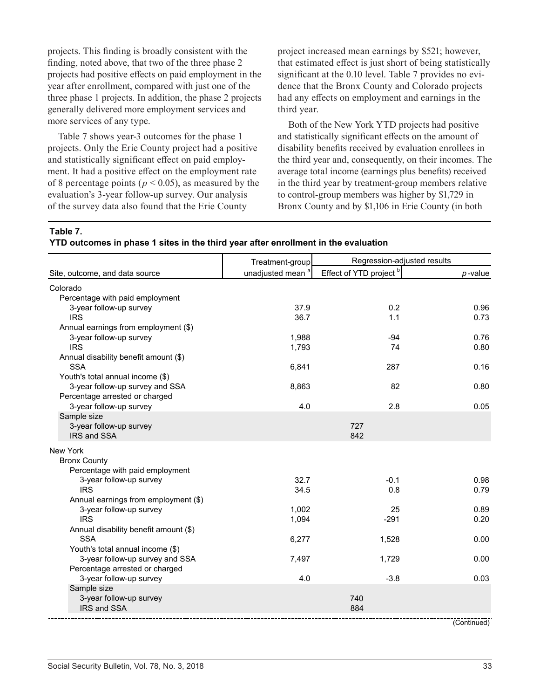projects. This finding is broadly consistent with the finding, noted above, that two of the three phase 2 projects had positive effects on paid employment in the year after enrollment, compared with just one of the three phase 1 projects. In addition, the phase 2 projects generally delivered more employment services and more services of any type.

Table 7 shows year-3 outcomes for the phase 1 projects. Only the Erie County project had a positive and statistically significant effect on paid employment. It had a positive effect on the employment rate of 8 percentage points ( $p < 0.05$ ), as measured by the evaluation's 3-year follow-up survey. Our analysis of the survey data also found that the Erie County

project increased mean earnings by \$521; however, that estimated effect is just short of being statistically significant at the 0.10 level. Table 7 provides no evidence that the Bronx County and Colorado projects had any effects on employment and earnings in the third year.

Both of the New York YTD projects had positive and statistically significant effects on the amount of disability benefits received by evaluation enrollees in the third year and, consequently, on their incomes. The average total income (earnings plus benefits) received in the third year by treatment-group members relative to control-group members was higher by \$1,729 in Bronx County and by \$1,106 in Erie County (in both

#### **Table 7.**

|  |  |  | YTD outcomes in phase 1 sites in the third year after enrollment in the evaluation |  |
|--|--|--|------------------------------------------------------------------------------------|--|
|  |  |  |                                                                                    |  |

|                                                     | Treatment-group              | Regression-adjusted results        |            |
|-----------------------------------------------------|------------------------------|------------------------------------|------------|
| Site, outcome, and data source                      | unadjusted mean <sup>a</sup> | Effect of YTD project <sup>b</sup> | $p$ -value |
| Colorado                                            |                              |                                    |            |
| Percentage with paid employment                     |                              |                                    |            |
| 3-year follow-up survey                             | 37.9                         | 0.2                                | 0.96       |
| <b>IRS</b>                                          | 36.7                         | 1.1                                | 0.73       |
| Annual earnings from employment (\$)                |                              |                                    |            |
| 3-year follow-up survey                             | 1,988                        | $-94$                              | 0.76       |
| <b>IRS</b>                                          | 1,793                        | 74                                 | 0.80       |
| Annual disability benefit amount (\$)               |                              |                                    |            |
| <b>SSA</b>                                          | 6,841                        | 287                                | 0.16       |
| Youth's total annual income (\$)                    |                              |                                    |            |
| 3-year follow-up survey and SSA                     | 8,863                        | 82                                 | 0.80       |
| Percentage arrested or charged                      |                              |                                    |            |
| 3-year follow-up survey                             | 4.0                          | 2.8                                | 0.05       |
| Sample size<br>3-year follow-up survey              |                              | 727                                |            |
| IRS and SSA                                         |                              | 842                                |            |
|                                                     |                              |                                    |            |
| New York                                            |                              |                                    |            |
| <b>Bronx County</b>                                 |                              |                                    |            |
| Percentage with paid employment                     |                              |                                    |            |
| 3-year follow-up survey                             | 32.7                         | $-0.1$                             | 0.98       |
| <b>IRS</b>                                          | 34.5                         | 0.8                                | 0.79       |
| Annual earnings from employment (\$)                |                              |                                    |            |
| 3-year follow-up survey                             | 1,002                        | 25                                 | 0.89       |
| <b>IRS</b>                                          | 1,094                        | $-291$                             | 0.20       |
| Annual disability benefit amount (\$)<br><b>SSA</b> |                              |                                    | 0.00       |
| Youth's total annual income (\$)                    | 6,277                        | 1,528                              |            |
| 3-year follow-up survey and SSA                     | 7,497                        | 1,729                              | 0.00       |
| Percentage arrested or charged                      |                              |                                    |            |
| 3-year follow-up survey                             | 4.0                          | $-3.8$                             | 0.03       |
| Sample size                                         |                              |                                    |            |
| 3-year follow-up survey                             |                              | 740                                |            |
| IRS and SSA                                         |                              | 884                                |            |
|                                                     |                              |                                    |            |

(Continued)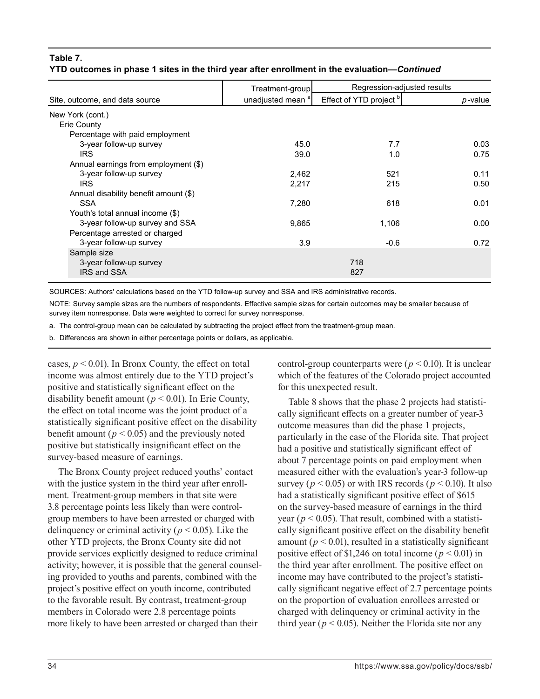#### **Table 7. YTD outcomes in phase 1 sites in the third year after enrollment in the evaluation—***Continued*

|                                       | Treatment-group              | Regression-adjusted results |            |
|---------------------------------------|------------------------------|-----------------------------|------------|
| Site, outcome, and data source        | unadjusted mean <sup>a</sup> | Effect of YTD project bl    | $p$ -value |
| New York (cont.)                      |                              |                             |            |
| Erie County                           |                              |                             |            |
| Percentage with paid employment       |                              |                             |            |
| 3-year follow-up survey               | 45.0                         | 7.7                         | 0.03       |
| <b>IRS</b>                            | 39.0                         | 1.0                         | 0.75       |
| Annual earnings from employment (\$)  |                              |                             |            |
| 3-year follow-up survey               | 2,462                        | 521                         | 0.11       |
| <b>IRS</b>                            | 2,217                        | 215                         | 0.50       |
| Annual disability benefit amount (\$) |                              |                             |            |
| <b>SSA</b>                            | 7,280                        | 618                         | 0.01       |
| Youth's total annual income (\$)      |                              |                             |            |
| 3-year follow-up survey and SSA       | 9,865                        | 1,106                       | 0.00       |
| Percentage arrested or charged        |                              |                             |            |
| 3-year follow-up survey               | 3.9                          | $-0.6$                      | 0.72       |
| Sample size                           |                              |                             |            |
| 3-year follow-up survey               |                              | 718                         |            |
| <b>IRS and SSA</b>                    |                              | 827                         |            |

SOURCES: Authors' calculations based on the YTD follow-up survey and SSA and IRS administrative records.

NOTE: Survey sample sizes are the numbers of respondents. Effective sample sizes for certain outcomes may be smaller because of survey item nonresponse. Data were weighted to correct for survey nonresponse.

a. The control-group mean can be calculated by subtracting the project effect from the treatment-group mean.

b. Differences are shown in either percentage points or dollars, as applicable.

cases,  $p < 0.01$ ). In Bronx County, the effect on total income was almost entirely due to the YTD project's positive and statistically significant effect on the disability benefit amount ( $p < 0.01$ ). In Erie County, the effect on total income was the joint product of a statistically significant positive effect on the disability benefit amount ( $p < 0.05$ ) and the previously noted positive but statistically insignificant effect on the survey-based measure of earnings.

The Bronx County project reduced youths' contact with the justice system in the third year after enrollment. Treatment-group members in that site were 3.8 percentage points less likely than were controlgroup members to have been arrested or charged with delinquency or criminal activity ( $p < 0.05$ ). Like the other YTD projects, the Bronx County site did not provide services explicitly designed to reduce criminal activity; however, it is possible that the general counseling provided to youths and parents, combined with the project's positive effect on youth income, contributed to the favorable result. By contrast, treatment-group members in Colorado were 2.8 percentage points more likely to have been arrested or charged than their

control-group counterparts were  $(p < 0.10)$ . It is unclear which of the features of the Colorado project accounted for this unexpected result.

Table 8 shows that the phase 2 projects had statistically significant effects on a greater number of year-3 outcome measures than did the phase 1 projects, particularly in the case of the Florida site. That project had a positive and statistically significant effect of about 7 percentage points on paid employment when measured either with the evaluation's year-3 follow-up survey ( $p < 0.05$ ) or with IRS records ( $p < 0.10$ ). It also had a statistically significant positive effect of \$615 on the survey-based measure of earnings in the third year ( $p < 0.05$ ). That result, combined with a statistically significant positive effect on the disability benefit amount  $(p < 0.01)$ , resulted in a statistically significant positive effect of \$1,246 on total income ( $p < 0.01$ ) in the third year after enrollment. The positive effect on income may have contributed to the project's statistically significant negative effect of 2.7 percentage points on the proportion of evaluation enrollees arrested or charged with delinquency or criminal activity in the third year ( $p < 0.05$ ). Neither the Florida site nor any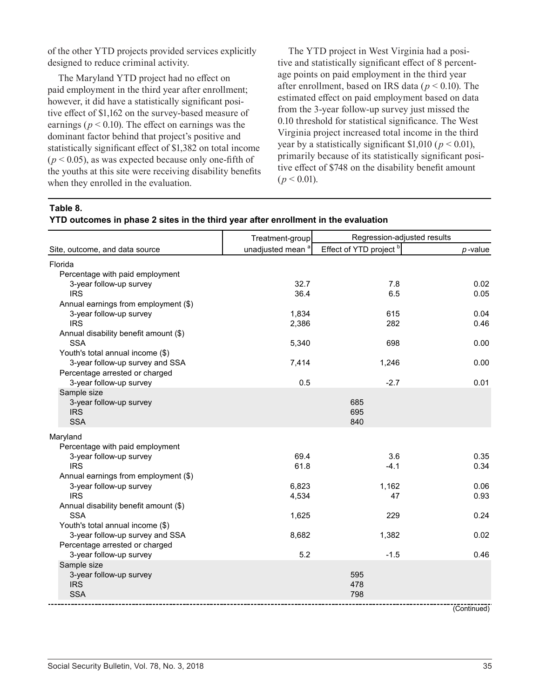of the other YTD projects provided services explicitly designed to reduce criminal activity.

The Maryland YTD project had no effect on paid employment in the third year after enrollment; however, it did have a statistically significant positive effect of \$1,162 on the survey-based measure of earnings ( $p < 0.10$ ). The effect on earnings was the dominant factor behind that project's positive and statistically significant effect of \$1,382 on total income  $(p < 0.05)$ , as was expected because only one-fifth of the youths at this site were receiving disability benefits when they enrolled in the evaluation.

The YTD project in West Virginia had a positive and statistically significant effect of 8 percentage points on paid employment in the third year after enrollment, based on IRS data (*p* < 0.10). The estimated effect on paid employment based on data from the 3-year follow-up survey just missed the 0.10 threshold for statistical significance. The West Virginia project increased total income in the third year by a statistically significant \$1,010 ( $p < 0.01$ ), primarily because of its statistically significant positive effect of \$748 on the disability benefit amount  $(p < 0.01)$ .

**Table 8.** 

|                                                     | Treatment-group              | Regression-adjusted results |              |
|-----------------------------------------------------|------------------------------|-----------------------------|--------------|
| Site, outcome, and data source                      | unadjusted mean <sup>a</sup> | Effect of YTD project b     | $p$ -value   |
| Florida<br>Percentage with paid employment          |                              |                             |              |
| 3-year follow-up survey                             | 32.7                         | 7.8                         | 0.02         |
| <b>IRS</b>                                          | 36.4                         | 6.5                         | 0.05         |
| Annual earnings from employment (\$)                |                              |                             |              |
| 3-year follow-up survey<br><b>IRS</b>               | 1,834<br>2,386               | 615<br>282                  | 0.04<br>0.46 |
| Annual disability benefit amount (\$)               |                              |                             |              |
| <b>SSA</b>                                          | 5,340                        | 698                         | 0.00         |
| Youth's total annual income (\$)                    |                              |                             |              |
| 3-year follow-up survey and SSA                     | 7,414                        | 1,246                       | 0.00         |
| Percentage arrested or charged                      |                              |                             |              |
| 3-year follow-up survey                             | 0.5                          | $-2.7$                      | 0.01         |
| Sample size                                         |                              | 685                         |              |
| 3-year follow-up survey<br><b>IRS</b>               |                              | 695                         |              |
| <b>SSA</b>                                          |                              | 840                         |              |
| Maryland                                            |                              |                             |              |
| Percentage with paid employment                     |                              |                             |              |
| 3-year follow-up survey                             | 69.4                         | 3.6                         | 0.35         |
| <b>IRS</b>                                          | 61.8                         | $-4.1$                      | 0.34         |
| Annual earnings from employment (\$)                |                              |                             |              |
| 3-year follow-up survey                             | 6,823                        | 1,162                       | 0.06         |
| <b>IRS</b>                                          | 4,534                        | 47                          | 0.93         |
| Annual disability benefit amount (\$)<br><b>SSA</b> | 1,625                        | 229                         | 0.24         |
| Youth's total annual income (\$)                    |                              |                             |              |
| 3-year follow-up survey and SSA                     | 8,682                        | 1,382                       | 0.02         |
| Percentage arrested or charged                      |                              |                             |              |
| 3-year follow-up survey                             | 5.2                          | $-1.5$                      | 0.46         |
| Sample size                                         |                              |                             |              |
| 3-year follow-up survey<br><b>IRS</b>               |                              | 595<br>478                  |              |
| <b>SSA</b>                                          |                              | 798                         |              |
|                                                     |                              |                             |              |

(Continued)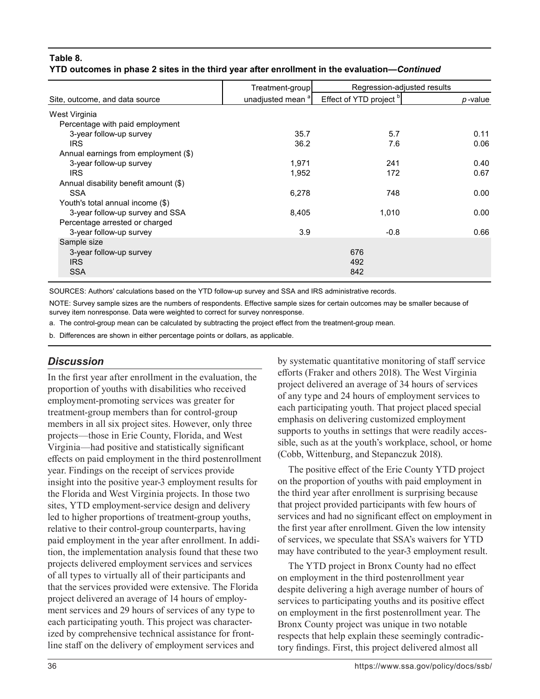#### **Table 8. YTD outcomes in phase 2 sites in the third year after enrollment in the evaluation—***Continued*

|                                       | Treatment-group              | Regression-adjusted results |         |
|---------------------------------------|------------------------------|-----------------------------|---------|
| Site, outcome, and data source        | unadjusted mean <sup>a</sup> | Effect of YTD project bl    | p-value |
| West Virginia                         |                              |                             |         |
| Percentage with paid employment       |                              |                             |         |
| 3-year follow-up survey               | 35.7                         | 5.7                         | 0.11    |
| <b>IRS</b>                            | 36.2                         | 7.6                         | 0.06    |
| Annual earnings from employment (\$)  |                              |                             |         |
| 3-year follow-up survey               | 1,971                        | 241                         | 0.40    |
| <b>IRS</b>                            | 1,952                        | 172                         | 0.67    |
| Annual disability benefit amount (\$) |                              |                             |         |
| <b>SSA</b>                            | 6,278                        | 748                         | 0.00    |
| Youth's total annual income (\$)      |                              |                             |         |
| 3-year follow-up survey and SSA       | 8,405                        | 1,010                       | 0.00    |
| Percentage arrested or charged        |                              |                             |         |
| 3-year follow-up survey               | 3.9                          | $-0.8$                      | 0.66    |
| Sample size                           |                              |                             |         |
| 3-year follow-up survey               |                              | 676                         |         |
| <b>IRS</b>                            |                              | 492                         |         |
| <b>SSA</b>                            |                              | 842                         |         |

SOURCES: Authors' calculations based on the YTD follow-up survey and SSA and IRS administrative records.

NOTE: Survey sample sizes are the numbers of respondents. Effective sample sizes for certain outcomes may be smaller because of survey item nonresponse. Data were weighted to correct for survey nonresponse.

a. The control-group mean can be calculated by subtracting the project effect from the treatment-group mean.

b. Differences are shown in either percentage points or dollars, as applicable.

#### *Discussion*

In the first year after enrollment in the evaluation, the proportion of youths with disabilities who received employment-promoting services was greater for treatment-group members than for control-group members in all six project sites. However, only three projects—those in Erie County, Florida, and West Virginia—had positive and statistically significant effects on paid employment in the third postenrollment year. Findings on the receipt of services provide insight into the positive year-3 employment results for the Florida and West Virginia projects. In those two sites, YTD employment-service design and delivery led to higher proportions of treatment-group youths, relative to their control-group counterparts, having paid employment in the year after enrollment. In addition, the implementation analysis found that these two projects delivered employment services and services of all types to virtually all of their participants and that the services provided were extensive. The Florida project delivered an average of 14 hours of employment services and 29 hours of services of any type to each participating youth. This project was characterized by comprehensive technical assistance for frontline staff on the delivery of employment services and

by systematic quantitative monitoring of staff service efforts (Fraker and others 2018). The West Virginia project delivered an average of 34 hours of services of any type and 24 hours of employment services to each participating youth. That project placed special emphasis on delivering customized employment supports to youths in settings that were readily accessible, such as at the youth's workplace, school, or home (Cobb, Wittenburg, and Stepanczuk 2018).

The positive effect of the Erie County YTD project on the proportion of youths with paid employment in the third year after enrollment is surprising because that project provided participants with few hours of services and had no significant effect on employment in the first year after enrollment. Given the low intensity of services, we speculate that SSA's waivers for YTD may have contributed to the year-3 employment result.

The YTD project in Bronx County had no effect on employment in the third postenrollment year despite delivering a high average number of hours of services to participating youths and its positive effect on employment in the first postenrollment year. The Bronx County project was unique in two notable respects that help explain these seemingly contradictory findings. First, this project delivered almost all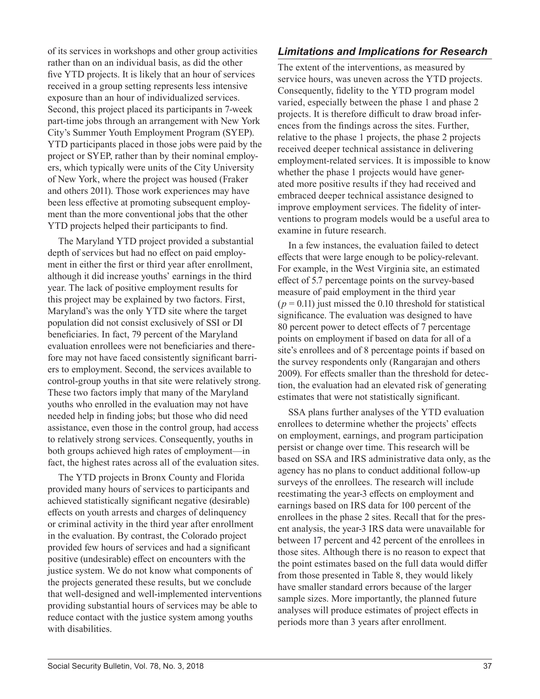of its services in workshops and other group activities rather than on an individual basis, as did the other five YTD projects. It is likely that an hour of services received in a group setting represents less intensive exposure than an hour of individualized services. Second, this project placed its participants in 7-week part-time jobs through an arrangement with New York City's Summer Youth Employment Program (SYEP). YTD participants placed in those jobs were paid by the project or SYEP, rather than by their nominal employers, which typically were units of the City University of New York, where the project was housed (Fraker and others 2011). Those work experiences may have been less effective at promoting subsequent employment than the more conventional jobs that the other YTD projects helped their participants to find.

The Maryland YTD project provided a substantial depth of services but had no effect on paid employment in either the first or third year after enrollment, although it did increase youths' earnings in the third year. The lack of positive employment results for this project may be explained by two factors. First, Maryland's was the only YTD site where the target population did not consist exclusively of SSI or DI beneficiaries. In fact, 79 percent of the Maryland evaluation enrollees were not beneficiaries and therefore may not have faced consistently significant barriers to employment. Second, the services available to control-group youths in that site were relatively strong. These two factors imply that many of the Maryland youths who enrolled in the evaluation may not have needed help in finding jobs; but those who did need assistance, even those in the control group, had access to relatively strong services. Consequently, youths in both groups achieved high rates of employment—in fact, the highest rates across all of the evaluation sites.

The YTD projects in Bronx County and Florida provided many hours of services to participants and achieved statistically significant negative (desirable) effects on youth arrests and charges of delinquency or criminal activity in the third year after enrollment in the evaluation. By contrast, the Colorado project provided few hours of services and had a significant positive (undesirable) effect on encounters with the justice system. We do not know what components of the projects generated these results, but we conclude that well-designed and well-implemented interventions providing substantial hours of services may be able to reduce contact with the justice system among youths with disabilities.

### *Limitations and Implications for Research*

The extent of the interventions, as measured by service hours, was uneven across the YTD projects. Consequently, fidelity to the YTD program model varied, especially between the phase 1 and phase 2 projects. It is therefore difficult to draw broad inferences from the findings across the sites. Further, relative to the phase 1 projects, the phase 2 projects received deeper technical assistance in delivering employment-related services. It is impossible to know whether the phase 1 projects would have generated more positive results if they had received and embraced deeper technical assistance designed to improve employment services. The fidelity of interventions to program models would be a useful area to examine in future research.

In a few instances, the evaluation failed to detect effects that were large enough to be policy-relevant. For example, in the West Virginia site, an estimated effect of 5.7 percentage points on the survey-based measure of paid employment in the third year  $(p = 0.11)$  just missed the 0.10 threshold for statistical significance. The evaluation was designed to have 80 percent power to detect effects of 7 percentage points on employment if based on data for all of a site's enrollees and of 8 percentage points if based on the survey respondents only (Rangarajan and others 2009). For effects smaller than the threshold for detection, the evaluation had an elevated risk of generating estimates that were not statistically significant.

SSA plans further analyses of the YTD evaluation enrollees to determine whether the projects' effects on employment, earnings, and program participation persist or change over time. This research will be based on SSA and IRS administrative data only, as the agency has no plans to conduct additional follow-up surveys of the enrollees. The research will include reestimating the year-3 effects on employment and earnings based on IRS data for 100 percent of the enrollees in the phase 2 sites. Recall that for the present analysis, the year-3 IRS data were unavailable for between 17 percent and 42 percent of the enrollees in those sites. Although there is no reason to expect that the point estimates based on the full data would differ from those presented in Table 8, they would likely have smaller standard errors because of the larger sample sizes. More importantly, the planned future analyses will produce estimates of project effects in periods more than 3 years after enrollment.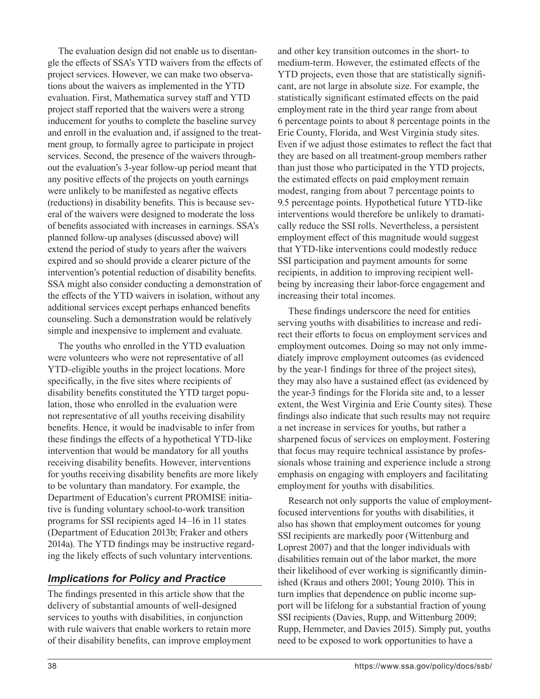The evaluation design did not enable us to disentangle the effects of SSA's YTD waivers from the effects of project services. However, we can make two observations about the waivers as implemented in the YTD evaluation. First, Mathematica survey staff and YTD project staff reported that the waivers were a strong inducement for youths to complete the baseline survey and enroll in the evaluation and, if assigned to the treatment group, to formally agree to participate in project services. Second, the presence of the waivers throughout the evaluation's 3-year follow-up period meant that any positive effects of the projects on youth earnings were unlikely to be manifested as negative effects (reductions) in disability benefits. This is because several of the waivers were designed to moderate the loss of benefits associated with increases in earnings. SSA's planned follow-up analyses (discussed above) will extend the period of study to years after the waivers expired and so should provide a clearer picture of the intervention's potential reduction of disability benefits. SSA might also consider conducting a demonstration of the effects of the YTD waivers in isolation, without any additional services except perhaps enhanced benefits counseling. Such a demonstration would be relatively simple and inexpensive to implement and evaluate.

The youths who enrolled in the YTD evaluation were volunteers who were not representative of all YTD-eligible youths in the project locations. More specifically, in the five sites where recipients of disability benefits constituted the YTD target population, those who enrolled in the evaluation were not representative of all youths receiving disability benefits. Hence, it would be inadvisable to infer from these findings the effects of a hypothetical YTD-like intervention that would be mandatory for all youths receiving disability benefits. However, interventions for youths receiving disability benefits are more likely to be voluntary than mandatory. For example, the Department of Education's current PROMISE initiative is funding voluntary school-to-work transition programs for SSI recipients aged 14–16 in 11 states (Department of Education 2013b; Fraker and others 2014a). The YTD findings may be instructive regarding the likely effects of such voluntary interventions.

### *Implications for Policy and Practice*

The findings presented in this article show that the delivery of substantial amounts of well-designed services to youths with disabilities, in conjunction with rule waivers that enable workers to retain more of their disability benefits, can improve employment and other key transition outcomes in the short- to medium-term. However, the estimated effects of the YTD projects, even those that are statistically significant, are not large in absolute size. For example, the statistically significant estimated effects on the paid employment rate in the third year range from about 6 percentage points to about 8 percentage points in the Erie County, Florida, and West Virginia study sites. Even if we adjust those estimates to reflect the fact that they are based on all treatment-group members rather than just those who participated in the YTD projects, the estimated effects on paid employment remain modest, ranging from about 7 percentage points to 9.5 percentage points. Hypothetical future YTD-like interventions would therefore be unlikely to dramatically reduce the SSI rolls. Nevertheless, a persistent employment effect of this magnitude would suggest that YTD-like interventions could modestly reduce SSI participation and payment amounts for some recipients, in addition to improving recipient wellbeing by increasing their labor-force engagement and increasing their total incomes.

These findings underscore the need for entities serving youths with disabilities to increase and redirect their efforts to focus on employment services and employment outcomes. Doing so may not only immediately improve employment outcomes (as evidenced by the year-1 findings for three of the project sites), they may also have a sustained effect (as evidenced by the year-3 findings for the Florida site and, to a lesser extent, the West Virginia and Erie County sites). These findings also indicate that such results may not require a net increase in services for youths, but rather a sharpened focus of services on employment. Fostering that focus may require technical assistance by professionals whose training and experience include a strong emphasis on engaging with employers and facilitating employment for youths with disabilities.

Research not only supports the value of employmentfocused interventions for youths with disabilities, it also has shown that employment outcomes for young SSI recipients are markedly poor (Wittenburg and Loprest 2007) and that the longer individuals with disabilities remain out of the labor market, the more their likelihood of ever working is significantly diminished (Kraus and others 2001; Young 2010). This in turn implies that dependence on public income support will be lifelong for a substantial fraction of young SSI recipients (Davies, Rupp, and Wittenburg 2009; Rupp, Hemmeter, and Davies 2015). Simply put, youths need to be exposed to work opportunities to have a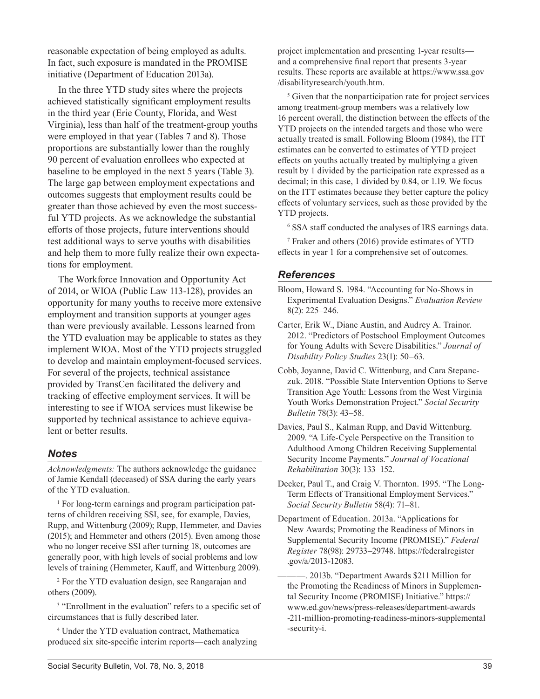reasonable expectation of being employed as adults. In fact, such exposure is mandated in the PROMISE initiative (Department of Education 2013a).

In the three YTD study sites where the projects achieved statistically significant employment results in the third year (Erie County, Florida, and West Virginia), less than half of the treatment-group youths were employed in that year (Tables 7 and 8). Those proportions are substantially lower than the roughly 90 percent of evaluation enrollees who expected at baseline to be employed in the next 5 years (Table 3). The large gap between employment expectations and outcomes suggests that employment results could be greater than those achieved by even the most successful YTD projects. As we acknowledge the substantial efforts of those projects, future interventions should test additional ways to serve youths with disabilities and help them to more fully realize their own expectations for employment.

The Workforce Innovation and Opportunity Act of 2014, or WIOA (Public Law 113-128), provides an opportunity for many youths to receive more extensive employment and transition supports at younger ages than were previously available. Lessons learned from the YTD evaluation may be applicable to states as they implement WIOA. Most of the YTD projects struggled to develop and maintain employment-focused services. For several of the projects, technical assistance provided by TransCen facilitated the delivery and tracking of effective employment services. It will be interesting to see if WIOA services must likewise be supported by technical assistance to achieve equivalent or better results.

#### *Notes*

*Acknowledgments:* The authors acknowledge the guidance of Jamie Kendall (deceased) of SSA during the early years of the YTD evaluation.

<sup>1</sup> For long-term earnings and program participation patterns of children receiving SSI, see, for example, Davies, Rupp, and Wittenburg (2009); Rupp, Hemmeter, and Davies (2015); and Hemmeter and others (2015). Even among those who no longer receive SSI after turning 18, outcomes are generally poor, with high levels of social problems and low levels of training (Hemmeter, Kauff, and Wittenburg 2009).

2 For the YTD evaluation design, see Rangarajan and others (2009).

<sup>3</sup> "Enrollment in the evaluation" refers to a specific set of circumstances that is fully described later.

4 Under the YTD evaluation contract, Mathematica produced six site-specific interim reports—each analyzing project implementation and presenting 1-year results and a comprehensive final report that presents 3-year results. These reports are available at [https://www.ssa.gov](https://www.ssa.gov/disabilityresearch/youth.htm) [/disabilityresearch/youth.htm.](https://www.ssa.gov/disabilityresearch/youth.htm)

<sup>5</sup> Given that the nonparticipation rate for project services among treatment-group members was a relatively low 16 percent overall, the distinction between the effects of the YTD projects on the intended targets and those who were actually treated is small. Following Bloom (1984), the ITT estimates can be converted to estimates of YTD project effects on youths actually treated by multiplying a given result by 1 divided by the participation rate expressed as a decimal; in this case, 1 divided by 0.84, or 1.19. We focus on the ITT estimates because they better capture the policy effects of voluntary services, such as those provided by the YTD projects.

6 SSA staff conducted the analyses of IRS earnings data.

7 Fraker and others (2016) provide estimates of YTD effects in year 1 for a comprehensive set of outcomes.

#### *References*

Bloom, Howard S. 1984. "Accounting for No-Shows in Experimental Evaluation Designs." *Evaluation Review* 8(2): 225–246.

- Carter, Erik W., Diane Austin, and Audrey A. Trainor. 2012. "Predictors of Postschool Employment Outcomes for Young Adults with Severe Disabilities." *Journal of Disability Policy Studies* 23(1): 50–63.
- Cobb, Joyanne, David C. Wittenburg, and Cara Stepanczuk. 2018. "Possible State Intervention Options to Serve Transition Age Youth: Lessons from the West Virginia Youth Works Demonstration Project." *Social Security Bulletin* 78(3): 43–58.
- Davies, Paul S., Kalman Rupp, and David Wittenburg. 2009. "A Life-Cycle Perspective on the Transition to Adulthood Among Children Receiving Supplemental Security Income Payments." *Journal of Vocational Rehabilitation* 30(3): 133–152.

Decker, Paul T., and Craig V. Thornton. 1995. "The Long-Term Effects of Transitional Employment Services." *Social Security Bulletin* 58(4): 71–81.

Department of Education. 2013a. "Applications for New Awards; Promoting the Readiness of Minors in Supplemental Security Income (PROMISE)." *Federal Register* 78(98): 29733–29748. [https://federalregister](https://federalregister.gov/a/2013-12083) [.gov/a/2013-12083.](https://federalregister.gov/a/2013-12083)

———. 2013b. "Department Awards \$211 Million for the Promoting the Readiness of Minors in Supplemental Security Income (PROMISE) Initiative." [https://](https://www.ed.gov/news/press-releases/department-awards-211-million-promoting-readiness-minors-supplemental-security-i) [www.ed.gov/news/press-releases/department-awards](https://www.ed.gov/news/press-releases/department-awards-211-million-promoting-readiness-minors-supplemental-security-i) [-211-million-promoting-readiness-minors-supplemental](https://www.ed.gov/news/press-releases/department-awards-211-million-promoting-readiness-minors-supplemental-security-i) [-security-i](https://www.ed.gov/news/press-releases/department-awards-211-million-promoting-readiness-minors-supplemental-security-i).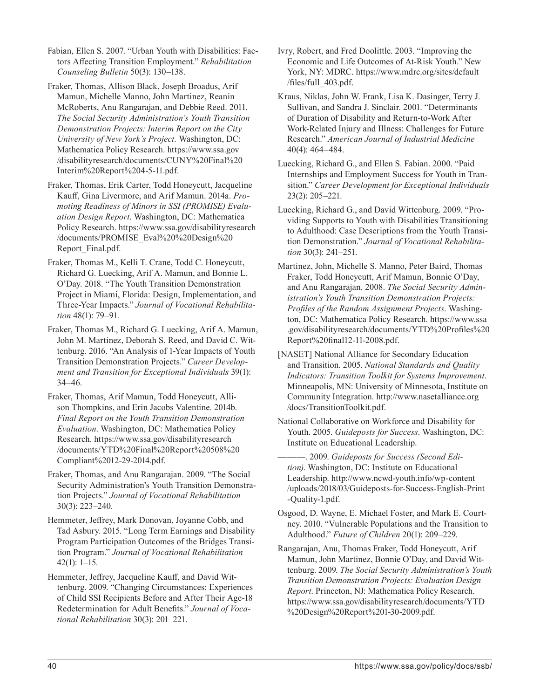Fabian, Ellen S. 2007. "Urban Youth with Disabilities: Factors Affecting Transition Employment." *Rehabilitation Counseling Bulletin* 50(3): 130–138.

- Fraker, Thomas, Allison Black, Joseph Broadus, Arif Mamun, Michelle Manno, John Martinez, Reanin McRoberts, Anu Rangarajan, and Debbie Reed. 2011. *The Social Security Administration's Youth Transition Demonstration Projects: Interim Report on the City University of New York's Project.* Washington, DC: Mathematica Policy Research. [https://www.ssa.gov](https://www.ssa.gov/disabilityresearch/documents/CUNY%20Final%20Interim%20Report%204-5-11.pdf) [/disabilityresearch/documents/CUNY%20Final%20](https://www.ssa.gov/disabilityresearch/documents/CUNY%20Final%20Interim%20Report%204-5-11.pdf) [Interim%20Report%204-5-11.pdf.](https://www.ssa.gov/disabilityresearch/documents/CUNY%20Final%20Interim%20Report%204-5-11.pdf)
- Fraker, Thomas, Erik Carter, Todd Honeycutt, Jacqueline Kauff, Gina Livermore, and Arif Mamun. 2014a. *Promoting Readiness of Minors in SSI (PROMISE) Evaluation Design Report*. Washington, DC: Mathematica Policy Research. [https://www.ssa.gov/disabilityresearch](https://www.ssa.gov/disabilityresearch/documents/PROMISE_Eval%20%20Design%20Report_Final.pdf) [/documents/PROMISE\\_Eval%20%20Design%20](https://www.ssa.gov/disabilityresearch/documents/PROMISE_Eval%20%20Design%20Report_Final.pdf) [Report\\_Final.pdf.](https://www.ssa.gov/disabilityresearch/documents/PROMISE_Eval%20%20Design%20Report_Final.pdf)
- Fraker, Thomas M., Kelli T. Crane, Todd C. Honeycutt, Richard G. Luecking, Arif A. Mamun, and Bonnie L. O'Day. 2018. "The Youth Transition Demonstration Project in Miami, Florida: Design, Implementation, and Three-Year Impacts." *Journal of Vocational Rehabilitation* 48(1): 79–91.
- Fraker, Thomas M., Richard G. Luecking, Arif A. Mamun, John M. Martinez, Deborah S. Reed, and David C. Wittenburg. 2016. "An Analysis of 1-Year Impacts of Youth Transition Demonstration Projects." *Career Development and Transition for Exceptional Individuals* 39(1): 34–46.
- Fraker, Thomas, Arif Mamun, Todd Honeycutt, Allison Thompkins, and Erin Jacobs Valentine. 2014b. *Final Report on the Youth Transition Demonstration Evaluation*. Washington, DC: Mathematica Policy Research. [https://www.ssa.gov/disabilityresearch](https://www.ssa.gov/disabilityresearch/documents/YTD%20Final%20Report%20508%20Compliant%2012-29-2014.pdf) [/documents/YTD%20Final%20Report%20508%20](https://www.ssa.gov/disabilityresearch/documents/YTD%20Final%20Report%20508%20Compliant%2012-29-2014.pdf) [Compliant%2012-29-2014.pdf.](https://www.ssa.gov/disabilityresearch/documents/YTD%20Final%20Report%20508%20Compliant%2012-29-2014.pdf)
- Fraker, Thomas, and Anu Rangarajan. 2009. "The Social Security Administration's Youth Transition Demonstration Projects." *Journal of Vocational Rehabilitation* 30(3): 223–240.
- Hemmeter, Jeffrey, Mark Donovan, Joyanne Cobb, and Tad Asbury. 2015. "Long Term Earnings and Disability Program Participation Outcomes of the Bridges Transition Program." *Journal of Vocational Rehabilitation* 42(1): 1–15.
- Hemmeter, Jeffrey, Jacqueline Kauff, and David Wittenburg. 2009. "Changing Circumstances: Experiences of Child SSI Recipients Before and After Their Age-18 Redetermination for Adult Benefits." *Journal of Vocational Rehabilitation* 30(3): 201–221.
- Ivry, Robert, and Fred Doolittle. 2003. "Improving the Economic and Life Outcomes of At-Risk Youth." New York, NY: MDRC. [https://www.mdrc.org/sites/default](https://www.mdrc.org/sites/default/files/full_403.pdf) [/files/full\\_403.pdf.](https://www.mdrc.org/sites/default/files/full_403.pdf)
- Kraus, Niklas, John W. Frank, Lisa K. Dasinger, Terry J. Sullivan, and Sandra J. Sinclair. 2001. "Determinants of Duration of Disability and Return-to-Work After Work-Related Injury and Illness: Challenges for Future Research." *American Journal of Industrial Medicine* 40(4): 464–484.
- Luecking, Richard G., and Ellen S. Fabian. 2000. "Paid Internships and Employment Success for Youth in Transition." *Career Development for Exceptional Individuals* 23(2): 205–221.
- Luecking, Richard G., and David Wittenburg. 2009. "Providing Supports to Youth with Disabilities Transitioning to Adulthood: Case Descriptions from the Youth Transition Demonstration." *Journal of Vocational Rehabilitation* 30(3): 241–251.
- Martinez, John, Michelle S. Manno, Peter Baird, Thomas Fraker, Todd Honeycutt, Arif Mamun, Bonnie O'Day, and Anu Rangarajan. 2008. *The Social Security Administration's Youth Transition Demonstration Projects: Profiles of the Random Assignment Projects*. Washington, DC: Mathematica Policy Research. [https://www.ssa](https://www.ssa.gov/disabilityresearch/documents/YTD%20Profiles%20Report%20final12-11-2008.pdf) [.gov/disabilityresearch/documents/YTD%20Profiles%20](https://www.ssa.gov/disabilityresearch/documents/YTD%20Profiles%20Report%20final12-11-2008.pdf) [Report%20final12-11-2008.pdf.](https://www.ssa.gov/disabilityresearch/documents/YTD%20Profiles%20Report%20final12-11-2008.pdf)
- [NASET] National Alliance for Secondary Education and Transition. 2005. *National Standards and Quality Indicators: Transition Toolkit for Systems Improvement*. Minneapolis, MN: University of Minnesota, Institute on Community Integration. [http://www.nasetalliance.org](http://www.nasetalliance.org/docs/TransitionToolkit.pdf) [/docs/TransitionToolkit.pdf](http://www.nasetalliance.org/docs/TransitionToolkit.pdf).
- National Collaborative on Workforce and Disability for Youth. 2005. *Guideposts for Success*. Washington, DC: Institute on Educational Leadership.
- ———. 2009. *Guideposts for Success (Second Edition)*. Washington, DC: Institute on Educational Leadership. [http://www.ncwd-youth.info/wp-content](http://www.ncwd-youth.info/wp-content/uploads/2018/03/Guideposts-for-Success-English-Print-Quality-1) [/uploads/2018/03/Guideposts-for-Success-English-Print](http://www.ncwd-youth.info/wp-content/uploads/2018/03/Guideposts-for-Success-English-Print-Quality-1) [-Quality-1.pdf](http://www.ncwd-youth.info/wp-content/uploads/2018/03/Guideposts-for-Success-English-Print-Quality-1).
- Osgood, D. Wayne, E. Michael Foster, and Mark E. Courtney. 2010. "Vulnerable Populations and the Transition to Adulthood." *Future of Children* 20(1): 209–229.
- Rangarajan, Anu, Thomas Fraker, Todd Honeycutt, Arif Mamun, John Martinez, Bonnie O'Day, and David Wittenburg. 2009. *The Social Security Administration's Youth Transition Demonstration Projects: Evaluation Design Report*. Princeton, NJ: Mathematica Policy Research. [https://www.ssa.gov/disabilityresearch/documents/YTD](https://www.ssa.gov/disabilityresearch/documents/YTD%20Design%20Report%201-30-2009.pdf) [%20Design%20Report%201-30-2009.pdf](https://www.ssa.gov/disabilityresearch/documents/YTD%20Design%20Report%201-30-2009.pdf).